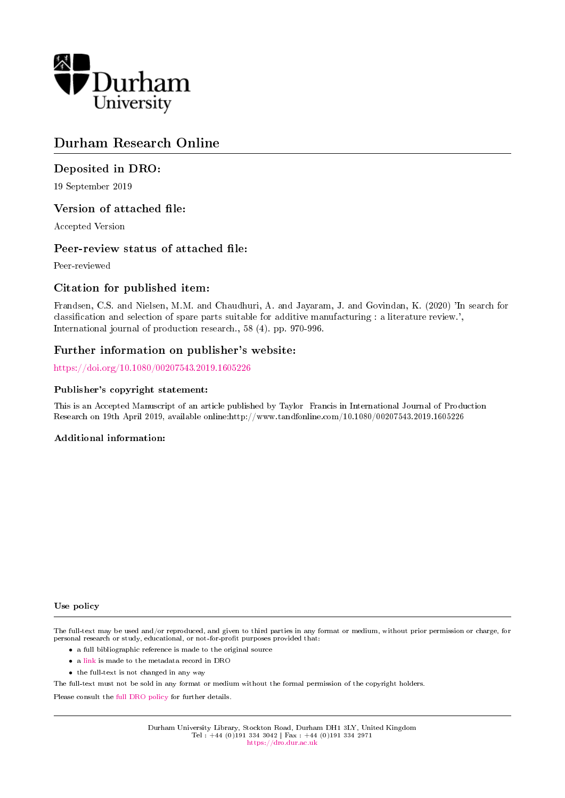

## Durham Research Online

## Deposited in DRO:

19 September 2019

## Version of attached file:

Accepted Version

## Peer-review status of attached file:

Peer-reviewed

## Citation for published item:

Frandsen, C.S. and Nielsen, M.M. and Chaudhuri, A. and Jayaram, J. and Govindan, K. (2020) 'In search for classification and selection of spare parts suitable for additive manufacturing : a literature review.', International journal of production research., 58 (4). pp. 970-996.

### Further information on publisher's website:

<https://doi.org/10.1080/00207543.2019.1605226>

#### Publisher's copyright statement:

This is an Accepted Manuscript of an article published by Taylor Francis in International Journal of Production Research on 19th April 2019, available online:http://www.tandfonline.com/10.1080/00207543.2019.1605226

#### Additional information:

#### Use policy

The full-text may be used and/or reproduced, and given to third parties in any format or medium, without prior permission or charge, for personal research or study, educational, or not-for-profit purposes provided that:

- a full bibliographic reference is made to the original source
- a [link](http://dro.dur.ac.uk/29131/) is made to the metadata record in DRO
- the full-text is not changed in any way

The full-text must not be sold in any format or medium without the formal permission of the copyright holders.

Please consult the [full DRO policy](https://dro.dur.ac.uk/policies/usepolicy.pdf) for further details.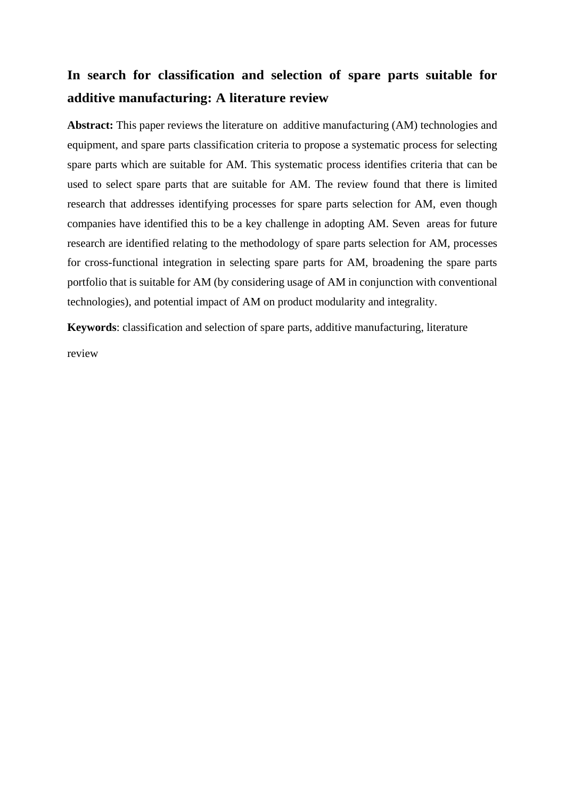# **In search for classification and selection of spare parts suitable for additive manufacturing: A literature review**

**Abstract:** This paper reviews the literature on additive manufacturing (AM) technologies and equipment, and spare parts classification criteria to propose a systematic process for selecting spare parts which are suitable for AM. This systematic process identifies criteria that can be used to select spare parts that are suitable for AM. The review found that there is limited research that addresses identifying processes for spare parts selection for AM, even though companies have identified this to be a key challenge in adopting AM. Seven areas for future research are identified relating to the methodology of spare parts selection for AM, processes for cross-functional integration in selecting spare parts for AM, broadening the spare parts portfolio that is suitable for AM (by considering usage of AM in conjunction with conventional technologies), and potential impact of AM on product modularity and integrality.

**Keywords**: classification and selection of spare parts, additive manufacturing, literature

review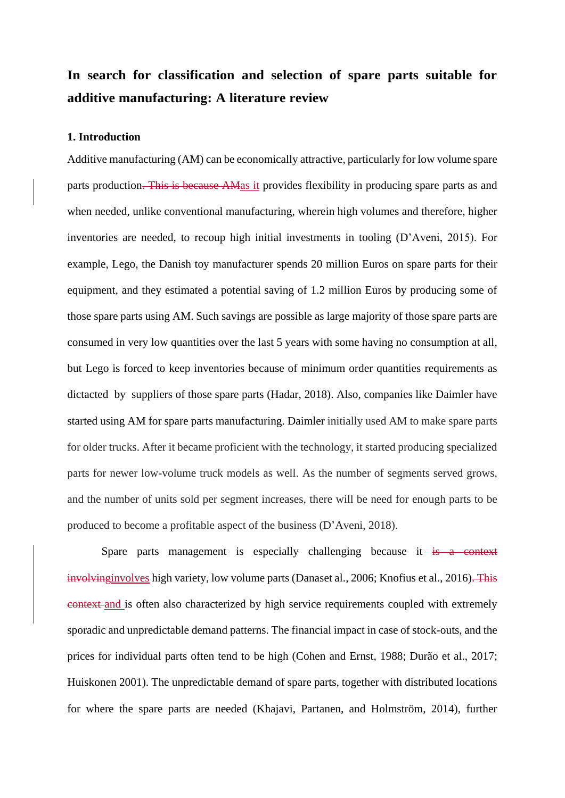# **In search for classification and selection of spare parts suitable for additive manufacturing: A literature review**

#### **1. Introduction**

Additive manufacturing (AM) can be economically attractive, particularly for low volume spare parts production. This is because AMas it provides flexibility in producing spare parts as and when needed, unlike conventional manufacturing, wherein high volumes and therefore, higher inventories are needed, to recoup high initial investments in tooling (D'Aveni, 2015). For example, Lego, the Danish toy manufacturer spends 20 million Euros on spare parts for their equipment, and they estimated a potential saving of 1.2 million Euros by producing some of those spare parts using AM. Such savings are possible as large majority of those spare parts are consumed in very low quantities over the last 5 years with some having no consumption at all, but Lego is forced to keep inventories because of minimum order quantities requirements as dictacted by suppliers of those spare parts (Hadar, 2018). Also, companies like Daimler have started using AM for spare parts manufacturing. Daimler initially used AM to make spare parts for older trucks. After it became proficient with the technology, it started producing specialized parts for newer low-volume truck models as well. As the number of segments served grows, and the number of units sold per segment increases, there will be need for enough parts to be produced to become a profitable aspect of the business (D'Aveni, 2018).

Spare parts management is especially challenging because it is a context involvinginvolves high variety, low volume parts (Danaset al., 2006; Knofius et al., 2016). This context and is often also characterized by high service requirements coupled with extremely sporadic and unpredictable demand patterns. The financial impact in case of stock-outs, and the prices for individual parts often tend to be high (Cohen and Ernst, 1988; Durão et al., 2017; Huiskonen 2001). The unpredictable demand of spare parts, together with distributed locations for where the spare parts are needed (Khajavi, Partanen, and Holmström, 2014), further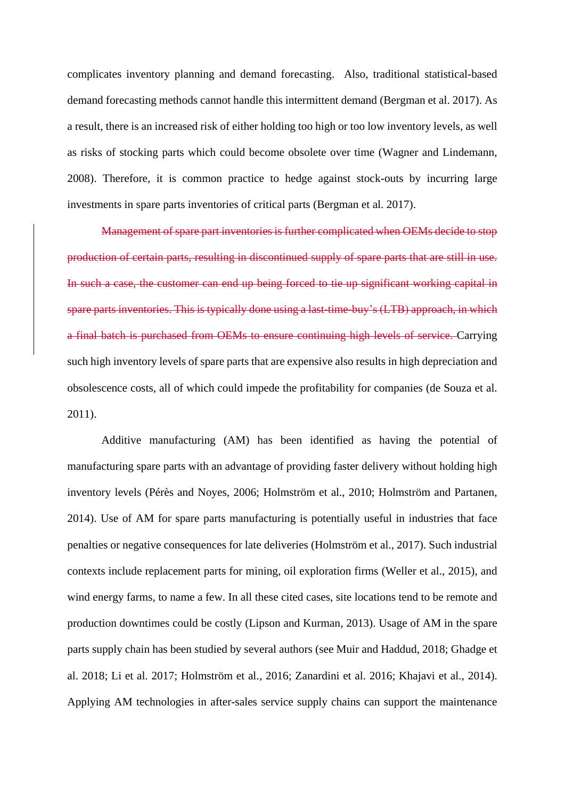complicates inventory planning and demand forecasting. Also, traditional statistical-based demand forecasting methods cannot handle this intermittent demand (Bergman et al. 2017). As a result, there is an increased risk of either holding too high or too low inventory levels, as well as risks of stocking parts which could become obsolete over time (Wagner and Lindemann, 2008). Therefore, it is common practice to hedge against stock-outs by incurring large investments in spare parts inventories of critical parts (Bergman et al. 2017).

Management of spare part inventories is further complicated when OEMs decide to stop production of certain parts, resulting in discontinued supply of spare parts that are still in use. In such a case, the customer can end up being forced to tie up significant working capital in spare parts inventories. This is typically done using a last-time-buy's (LTB) approach, in which a final batch is purchased from OEMs to ensure continuing high levels of service. Carrying such high inventory levels of spare parts that are expensive also results in high depreciation and obsolescence costs, all of which could impede the profitability for companies (de Souza et al. 2011).

Additive manufacturing (AM) has been identified as having the potential of manufacturing spare parts with an advantage of providing faster delivery without holding high inventory levels (Pérès and Noyes, 2006; Holmström et al., 2010; Holmström and Partanen, 2014). Use of AM for spare parts manufacturing is potentially useful in industries that face penalties or negative consequences for late deliveries (Holmström et al., 2017). Such industrial contexts include replacement parts for mining, oil exploration firms (Weller et al., 2015), and wind energy farms, to name a few. In all these cited cases, site locations tend to be remote and production downtimes could be costly (Lipson and Kurman, 2013). Usage of AM in the spare parts supply chain has been studied by several authors (see Muir and Haddud, 2018; Ghadge et al. 2018; Li et al. 2017; Holmström et al., 2016; Zanardini et al. 2016; Khajavi et al., 2014). Applying AM technologies in after-sales service supply chains can support the maintenance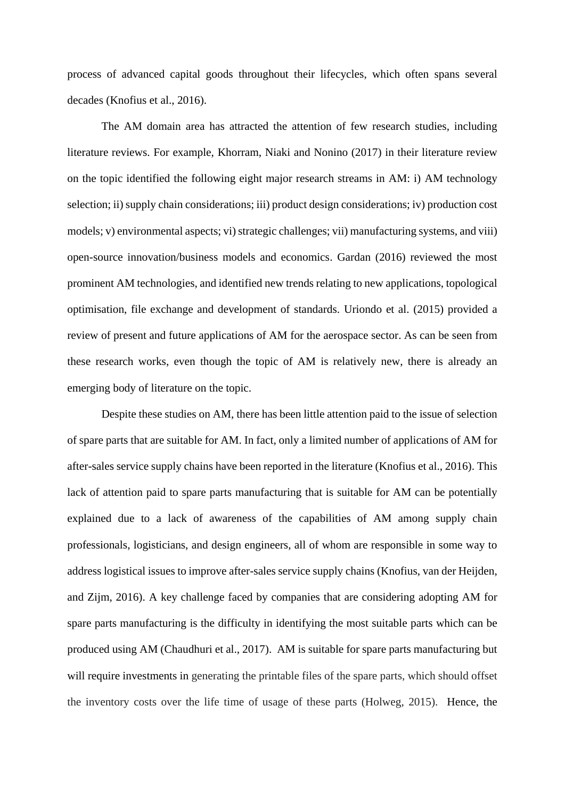process of advanced capital goods throughout their lifecycles, which often spans several decades (Knofius et al., 2016).

The AM domain area has attracted the attention of few research studies, including literature reviews. For example, Khorram, Niaki and Nonino (2017) in their literature review on the topic identified the following eight major research streams in AM: i) AM technology selection; ii) supply chain considerations; iii) product design considerations; iv) production cost models; v) environmental aspects; vi) strategic challenges; vii) manufacturing systems, and viii) open-source innovation/business models and economics. Gardan (2016) reviewed the most prominent AM technologies, and identified new trends relating to new applications, topological optimisation, file exchange and development of standards. Uriondo et al. (2015) provided a review of present and future applications of AM for the aerospace sector. As can be seen from these research works, even though the topic of AM is relatively new, there is already an emerging body of literature on the topic.

Despite these studies on AM, there has been little attention paid to the issue of selection of spare parts that are suitable for AM. In fact, only a limited number of applications of AM for after-sales service supply chains have been reported in the literature (Knofius et al., 2016). This lack of attention paid to spare parts manufacturing that is suitable for AM can be potentially explained due to a lack of awareness of the capabilities of AM among supply chain professionals, logisticians, and design engineers, all of whom are responsible in some way to address logistical issues to improve after-sales service supply chains (Knofius, van der Heijden, and Zijm, 2016). A key challenge faced by companies that are considering adopting AM for spare parts manufacturing is the difficulty in identifying the most suitable parts which can be produced using AM (Chaudhuri et al., 2017). AM is suitable for spare parts manufacturing but will require investments in generating the printable files of the spare parts, which should offset the inventory costs over the life time of usage of these parts (Holweg, 2015). Hence, the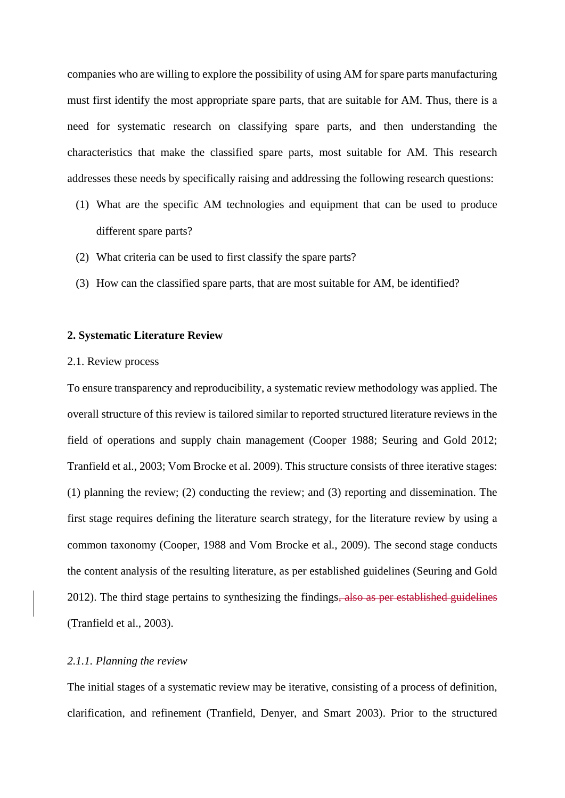companies who are willing to explore the possibility of using AM for spare parts manufacturing must first identify the most appropriate spare parts, that are suitable for AM. Thus, there is a need for systematic research on classifying spare parts, and then understanding the characteristics that make the classified spare parts, most suitable for AM. This research addresses these needs by specifically raising and addressing the following research questions:

- (1) What are the specific AM technologies and equipment that can be used to produce different spare parts?
- (2) What criteria can be used to first classify the spare parts?
- (3) How can the classified spare parts, that are most suitable for AM, be identified?

#### **2. Systematic Literature Review**

#### 2.1. Review process

To ensure transparency and reproducibility, a systematic review methodology was applied. The overall structure of this review is tailored similar to reported structured literature reviews in the field of operations and supply chain management (Cooper 1988; Seuring and Gold 2012; Tranfield et al., 2003; Vom Brocke et al. 2009). This structure consists of three iterative stages: (1) planning the review; (2) conducting the review; and (3) reporting and dissemination. The first stage requires defining the literature search strategy, for the literature review by using a common taxonomy (Cooper, 1988 and Vom Brocke et al., 2009). The second stage conducts the content analysis of the resulting literature, as per established guidelines (Seuring and Gold 2012). The third stage pertains to synthesizing the findings, also as per established guidelines (Tranfield et al., 2003).

#### *2.1.1. Planning the review*

The initial stages of a systematic review may be iterative, consisting of a process of definition, clarification, and refinement (Tranfield, Denyer, and Smart 2003). Prior to the structured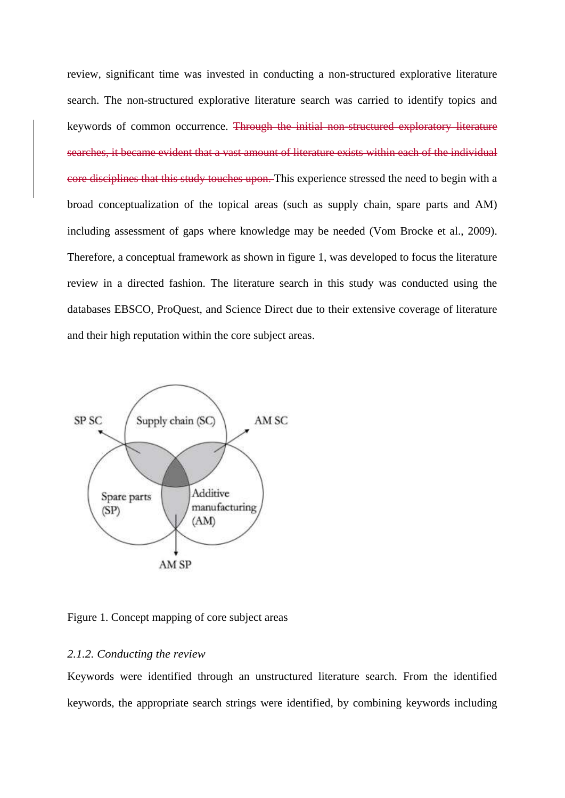review, significant time was invested in conducting a non-structured explorative literature search. The non-structured explorative literature search was carried to identify topics and keywords of common occurrence. Through the initial non-structured exploratory literature searches, it became evident that a vast amount of literature exists within each of the individual core disciplines that this study touches upon. This experience stressed the need to begin with a broad conceptualization of the topical areas (such as supply chain, spare parts and AM) including assessment of gaps where knowledge may be needed (Vom Brocke et al., 2009). Therefore, a conceptual framework as shown in figure 1, was developed to focus the literature review in a directed fashion. The literature search in this study was conducted using the databases EBSCO, ProQuest, and Science Direct due to their extensive coverage of literature and their high reputation within the core subject areas.



Figure 1. Concept mapping of core subject areas

#### *2.1.2. Conducting the review*

Keywords were identified through an unstructured literature search. From the identified keywords, the appropriate search strings were identified, by combining keywords including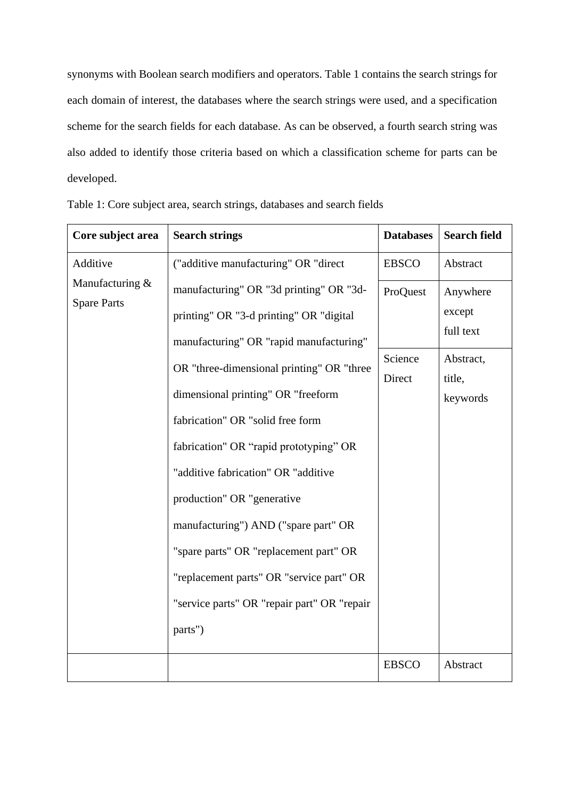synonyms with Boolean search modifiers and operators. Table 1 contains the search strings for each domain of interest, the databases where the search strings were used, and a specification scheme for the search fields for each database. As can be observed, a fourth search string was also added to identify those criteria based on which a classification scheme for parts can be developed.

| Core subject area                     | <b>Search strings</b>                                                                                                                                                                                                                                                                                                                                                                                                                                                                                                                            | <b>Databases</b>              | <b>Search field</b>                                                |
|---------------------------------------|--------------------------------------------------------------------------------------------------------------------------------------------------------------------------------------------------------------------------------------------------------------------------------------------------------------------------------------------------------------------------------------------------------------------------------------------------------------------------------------------------------------------------------------------------|-------------------------------|--------------------------------------------------------------------|
| Additive                              | ("additive manufacturing" OR "direct                                                                                                                                                                                                                                                                                                                                                                                                                                                                                                             | <b>EBSCO</b>                  | Abstract                                                           |
| Manufacturing &<br><b>Spare Parts</b> | manufacturing" OR "3d printing" OR "3d-<br>printing" OR "3-d printing" OR "digital<br>manufacturing" OR "rapid manufacturing"<br>OR "three-dimensional printing" OR "three<br>dimensional printing" OR "freeform<br>fabrication" OR "solid free form<br>fabrication" OR "rapid prototyping" OR<br>"additive fabrication" OR "additive<br>production" OR "generative<br>manufacturing") AND ("spare part" OR<br>"spare parts" OR "replacement part" OR<br>"replacement parts" OR "service part" OR<br>"service parts" OR "repair part" OR "repair | ProQuest<br>Science<br>Direct | Anywhere<br>except<br>full text<br>Abstract,<br>title,<br>keywords |
|                                       | parts")                                                                                                                                                                                                                                                                                                                                                                                                                                                                                                                                          |                               |                                                                    |
|                                       |                                                                                                                                                                                                                                                                                                                                                                                                                                                                                                                                                  | <b>EBSCO</b>                  | Abstract                                                           |

|  |  |  | Table 1: Core subject area, search strings, databases and search fields |  |  |
|--|--|--|-------------------------------------------------------------------------|--|--|
|  |  |  |                                                                         |  |  |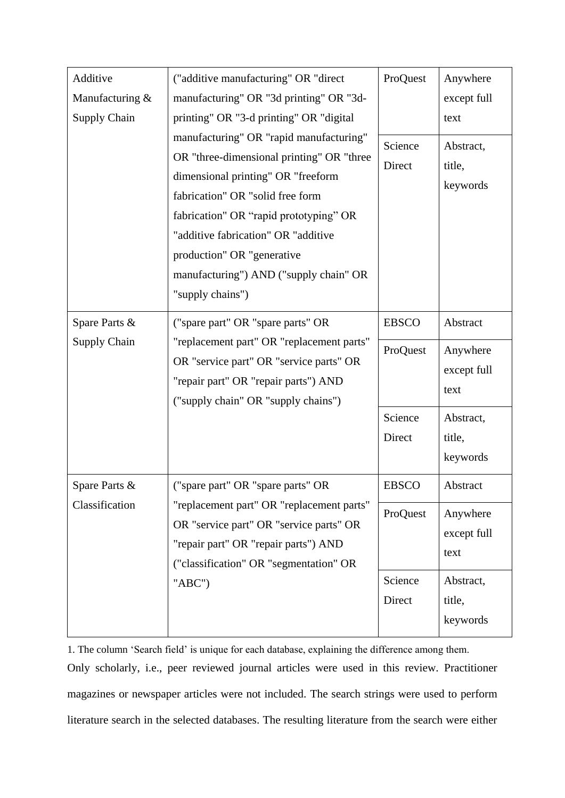| Additive            | ("additive manufacturing" OR "direct                                                                                                                                                                                                                                                                                                        | ProQuest          | Anywhere                        |
|---------------------|---------------------------------------------------------------------------------------------------------------------------------------------------------------------------------------------------------------------------------------------------------------------------------------------------------------------------------------------|-------------------|---------------------------------|
| Manufacturing &     | manufacturing" OR "3d printing" OR "3d-                                                                                                                                                                                                                                                                                                     |                   | except full                     |
| <b>Supply Chain</b> | printing" OR "3-d printing" OR "digital                                                                                                                                                                                                                                                                                                     |                   | text                            |
|                     | manufacturing" OR "rapid manufacturing"<br>OR "three-dimensional printing" OR "three<br>dimensional printing" OR "freeform<br>fabrication" OR "solid free form<br>fabrication" OR "rapid prototyping" OR<br>"additive fabrication" OR "additive<br>production" OR "generative<br>manufacturing") AND ("supply chain" OR<br>"supply chains") | Science<br>Direct | Abstract,<br>title,<br>keywords |
| Spare Parts &       | ("spare part" OR "spare parts" OR                                                                                                                                                                                                                                                                                                           | <b>EBSCO</b>      | Abstract                        |
| <b>Supply Chain</b> | "replacement part" OR "replacement parts"<br>OR "service part" OR "service parts" OR<br>"repair part" OR "repair parts") AND<br>("supply chain" OR "supply chains")                                                                                                                                                                         | ProQuest          | Anywhere<br>except full<br>text |
|                     |                                                                                                                                                                                                                                                                                                                                             | Science           | Abstract,                       |
|                     |                                                                                                                                                                                                                                                                                                                                             | Direct            | title,<br>keywords              |
| Spare Parts &       | ("spare part" OR "spare parts" OR                                                                                                                                                                                                                                                                                                           | <b>EBSCO</b>      | Abstract                        |
| Classification      | "replacement part" OR "replacement parts"<br>OR "service part" OR "service parts" OR<br>"repair part" OR "repair parts") AND<br>("classification" OR "segmentation" OR                                                                                                                                                                      | ProQuest          | Anywhere<br>except full<br>text |
|                     | " $ABC$ ")                                                                                                                                                                                                                                                                                                                                  | Science<br>Direct | Abstract,<br>title,<br>keywords |

1. The column 'Search field' is unique for each database, explaining the difference among them. Only scholarly, i.e., peer reviewed journal articles were used in this review. Practitioner magazines or newspaper articles were not included. The search strings were used to perform literature search in the selected databases. The resulting literature from the search were either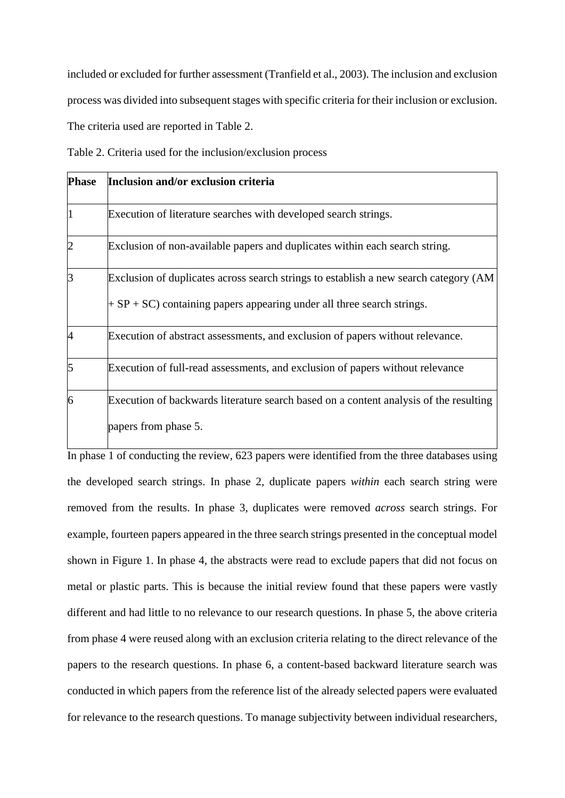included or excluded for further assessment (Tranfield et al., 2003). The inclusion and exclusion process was divided into subsequent stages with specific criteria for their inclusion or exclusion. The criteria used are reported in Table 2.

Table 2. Criteria used for the inclusion/exclusion process

| <b>Phase</b>   | Inclusion and/or exclusion criteria                                                                                                                               |
|----------------|-------------------------------------------------------------------------------------------------------------------------------------------------------------------|
| l1             | Execution of literature searches with developed search strings.                                                                                                   |
| $\overline{2}$ | Exclusion of non-available papers and duplicates within each search string.                                                                                       |
| 3              | Exclusion of duplicates across search strings to establish a new search category (AM<br>$+ SP + SC$ ) containing papers appearing under all three search strings. |
| 4              | Execution of abstract assessments, and exclusion of papers without relevance.                                                                                     |
| 5              | Execution of full-read assessments, and exclusion of papers without relevance                                                                                     |
| 6              | Execution of backwards literature search based on a content analysis of the resulting<br>papers from phase 5.                                                     |

In phase 1 of conducting the review, 623 papers were identified from the three databases using the developed search strings. In phase 2, duplicate papers *within* each search string were removed from the results. In phase 3, duplicates were removed *across* search strings. For example, fourteen papers appeared in the three search strings presented in the conceptual model shown in Figure 1. In phase 4, the abstracts were read to exclude papers that did not focus on metal or plastic parts. This is because the initial review found that these papers were vastly different and had little to no relevance to our research questions. In phase 5, the above criteria from phase 4 were reused along with an exclusion criteria relating to the direct relevance of the papers to the research questions. In phase 6, a content-based backward literature search was conducted in which papers from the reference list of the already selected papers were evaluated for relevance to the research questions. To manage subjectivity between individual researchers,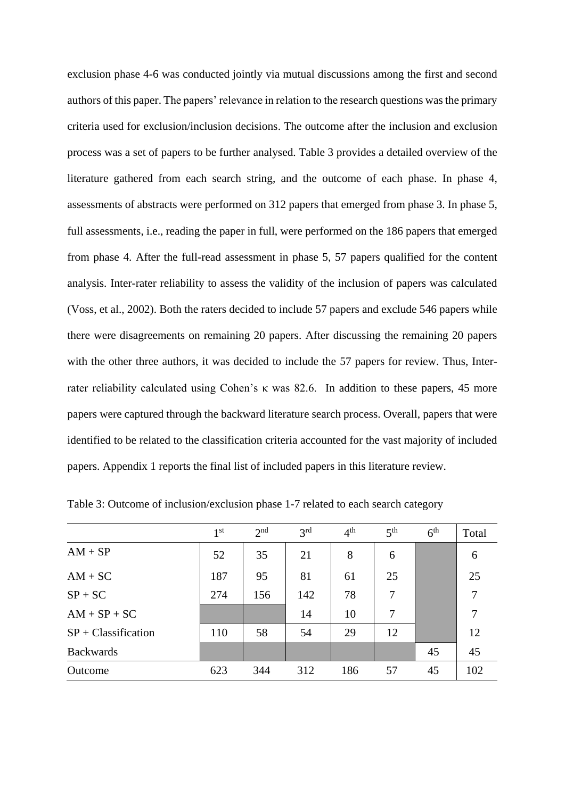exclusion phase 4-6 was conducted jointly via mutual discussions among the first and second authors of this paper. The papers' relevance in relation to the research questions was the primary criteria used for exclusion/inclusion decisions. The outcome after the inclusion and exclusion process was a set of papers to be further analysed. Table 3 provides a detailed overview of the literature gathered from each search string, and the outcome of each phase. In phase 4, assessments of abstracts were performed on 312 papers that emerged from phase 3. In phase 5, full assessments, i.e., reading the paper in full, were performed on the 186 papers that emerged from phase 4. After the full-read assessment in phase 5, 57 papers qualified for the content analysis. Inter-rater reliability to assess the validity of the inclusion of papers was calculated (Voss, et al., 2002). Both the raters decided to include 57 papers and exclude 546 papers while there were disagreements on remaining 20 papers. After discussing the remaining 20 papers with the other three authors, it was decided to include the 57 papers for review. Thus, Interrater reliability calculated using Cohen's κ was 82.6. In addition to these papers, 45 more papers were captured through the backward literature search process. Overall, papers that were identified to be related to the classification criteria accounted for the vast majority of included papers. Appendix 1 reports the final list of included papers in this literature review.

|                       | 1 <sup>st</sup> | 2 <sub>nd</sub> | 3 <sup>rd</sup> | 4 <sup>th</sup> | 5 <sup>th</sup> | 6 <sup>th</sup> | Total |
|-----------------------|-----------------|-----------------|-----------------|-----------------|-----------------|-----------------|-------|
| $AM + SP$             | 52              | 35              | 21              | 8               | 6               |                 | 6     |
| $AM + SC$             | 187             | 95              | 81              | 61              | 25              |                 | 25    |
| $SP + SC$             | 274             | 156             | 142             | 78              | 7               |                 | 7     |
| $AM + SP + SC$        |                 |                 | 14              | 10              | 7               |                 | 7     |
| $SP + Classification$ | 110             | 58              | 54              | 29              | 12              |                 | 12    |
| <b>Backwards</b>      |                 |                 |                 |                 |                 | 45              | 45    |
| Outcome               | 623             | 344             | 312             | 186             | 57              | 45              | 102   |

Table 3: Outcome of inclusion/exclusion phase 1-7 related to each search category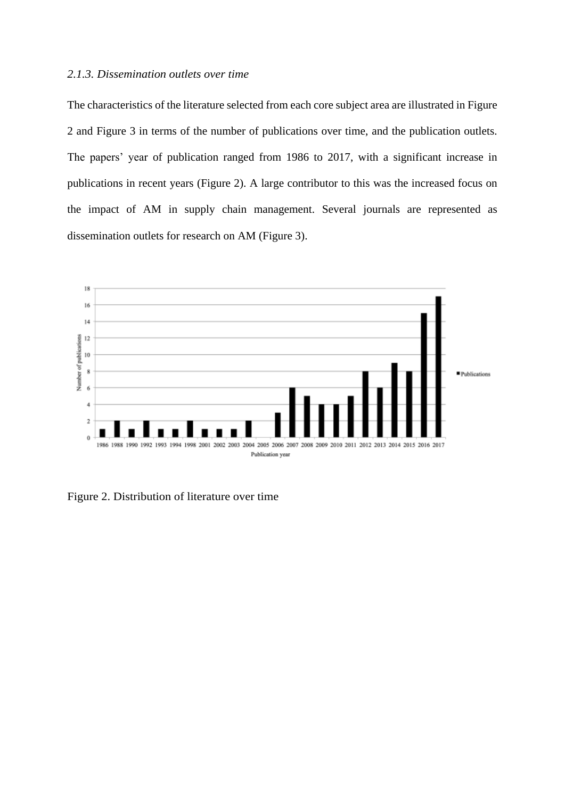## *2.1.3. Dissemination outlets over time*

The characteristics of the literature selected from each core subject area are illustrated in Figure 2 and Figure 3 in terms of the number of publications over time, and the publication outlets. The papers' year of publication ranged from 1986 to 2017, with a significant increase in publications in recent years (Figure 2). A large contributor to this was the increased focus on the impact of AM in supply chain management. Several journals are represented as dissemination outlets for research on AM (Figure 3).



Figure 2. Distribution of literature over time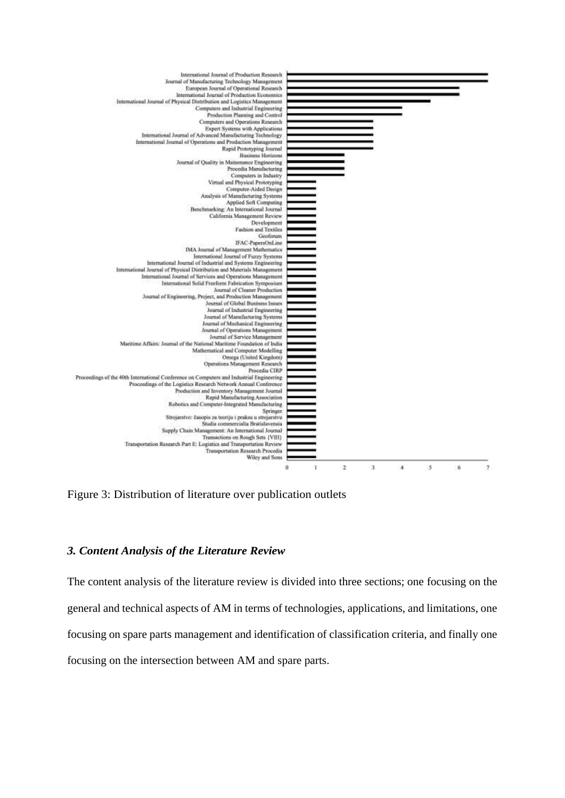

Figure 3: Distribution of literature over publication outlets

## *3. Content Analysis of the Literature Review*

The content analysis of the literature review is divided into three sections; one focusing on the general and technical aspects of AM in terms of technologies, applications, and limitations, one focusing on spare parts management and identification of classification criteria, and finally one focusing on the intersection between AM and spare parts.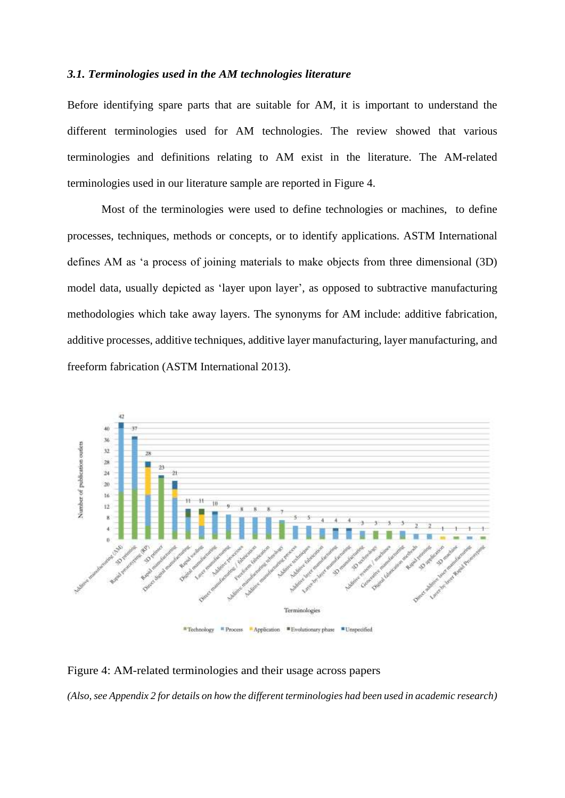#### *3.1. Terminologies used in the AM technologies literature*

Before identifying spare parts that are suitable for AM, it is important to understand the different terminologies used for AM technologies. The review showed that various terminologies and definitions relating to AM exist in the literature. The AM-related terminologies used in our literature sample are reported in Figure 4.

Most of the terminologies were used to define technologies or machines, to define processes, techniques, methods or concepts, or to identify applications. ASTM International defines AM as 'a process of joining materials to make objects from three dimensional (3D) model data, usually depicted as 'layer upon layer', as opposed to subtractive manufacturing methodologies which take away layers. The synonyms for AM include: additive fabrication, additive processes, additive techniques, additive layer manufacturing, layer manufacturing, and freeform fabrication (ASTM International 2013).



Figure 4: AM-related terminologies and their usage across papers

*(Also, see Appendix 2 for details on how the different terminologies had been used in academic research)*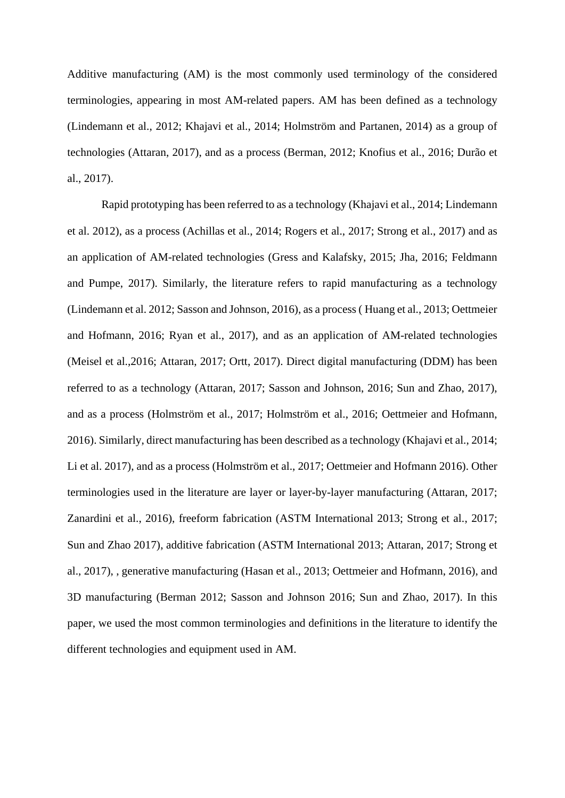Additive manufacturing (AM) is the most commonly used terminology of the considered terminologies, appearing in most AM-related papers. AM has been defined as a technology (Lindemann et al., 2012; Khajavi et al., 2014; Holmström and Partanen, 2014) as a group of technologies (Attaran, 2017), and as a process (Berman, 2012; Knofius et al., 2016; Durão et al., 2017).

Rapid prototyping has been referred to as a technology (Khajavi et al., 2014; Lindemann et al. 2012), as a process (Achillas et al., 2014; Rogers et al., 2017; Strong et al., 2017) and as an application of AM-related technologies (Gress and Kalafsky, 2015; Jha, 2016; Feldmann and Pumpe, 2017). Similarly, the literature refers to rapid manufacturing as a technology (Lindemann et al. 2012; Sasson and Johnson, 2016), as a process ( Huang et al., 2013; Oettmeier and Hofmann, 2016; Ryan et al., 2017), and as an application of AM-related technologies (Meisel et al.,2016; Attaran, 2017; Ortt, 2017). Direct digital manufacturing (DDM) has been referred to as a technology (Attaran, 2017; Sasson and Johnson, 2016; Sun and Zhao, 2017), and as a process (Holmström et al., 2017; Holmström et al., 2016; Oettmeier and Hofmann, 2016). Similarly, direct manufacturing has been described as a technology (Khajavi et al., 2014; Li et al. 2017), and as a process (Holmström et al., 2017; Oettmeier and Hofmann 2016). Other terminologies used in the literature are layer or layer-by-layer manufacturing (Attaran, 2017; Zanardini et al., 2016), freeform fabrication (ASTM International 2013; Strong et al., 2017; Sun and Zhao 2017), additive fabrication (ASTM International 2013; Attaran, 2017; Strong et al., 2017), , generative manufacturing (Hasan et al., 2013; Oettmeier and Hofmann, 2016), and 3D manufacturing (Berman 2012; Sasson and Johnson 2016; Sun and Zhao, 2017). In this paper, we used the most common terminologies and definitions in the literature to identify the different technologies and equipment used in AM.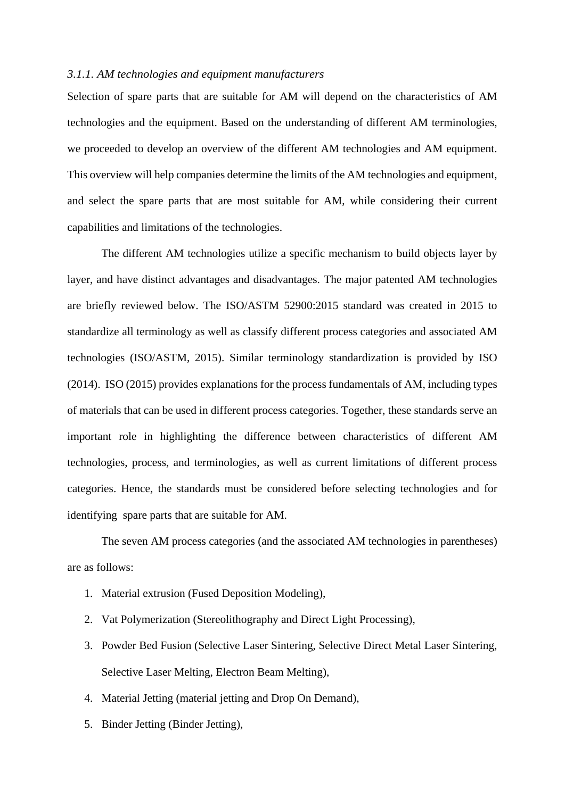#### *3.1.1. AM technologies and equipment manufacturers*

Selection of spare parts that are suitable for AM will depend on the characteristics of AM technologies and the equipment. Based on the understanding of different AM terminologies, we proceeded to develop an overview of the different AM technologies and AM equipment. This overview will help companies determine the limits of the AM technologies and equipment, and select the spare parts that are most suitable for AM, while considering their current capabilities and limitations of the technologies.

The different AM technologies utilize a specific mechanism to build objects layer by layer, and have distinct advantages and disadvantages. The major patented AM technologies are briefly reviewed below. The ISO/ASTM 52900:2015 standard was created in 2015 to standardize all terminology as well as classify different process categories and associated AM technologies (ISO/ASTM, 2015). Similar terminology standardization is provided by ISO (2014). ISO (2015) provides explanations for the process fundamentals of AM, including types of materials that can be used in different process categories. Together, these standards serve an important role in highlighting the difference between characteristics of different AM technologies, process, and terminologies, as well as current limitations of different process categories. Hence, the standards must be considered before selecting technologies and for identifying spare parts that are suitable for AM.

The seven AM process categories (and the associated AM technologies in parentheses) are as follows:

- 1. Material extrusion (Fused Deposition Modeling),
- 2. Vat Polymerization (Stereolithography and Direct Light Processing),
- 3. Powder Bed Fusion (Selective Laser Sintering, Selective Direct Metal Laser Sintering, Selective Laser Melting, Electron Beam Melting),
- 4. Material Jetting (material jetting and Drop On Demand),
- 5. Binder Jetting (Binder Jetting),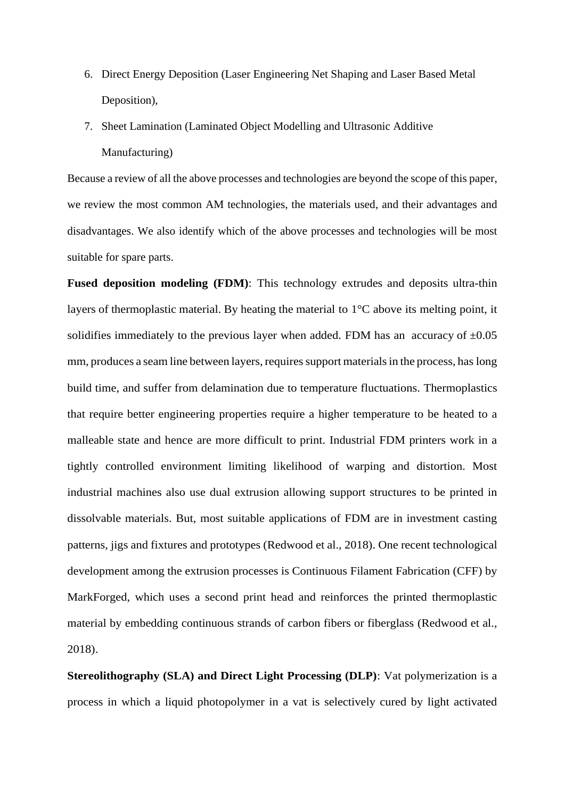- 6. Direct Energy Deposition (Laser Engineering Net Shaping and Laser Based Metal Deposition),
- 7. Sheet Lamination (Laminated Object Modelling and Ultrasonic Additive Manufacturing)

Because a review of all the above processes and technologies are beyond the scope of this paper, we review the most common AM technologies, the materials used, and their advantages and disadvantages. We also identify which of the above processes and technologies will be most suitable for spare parts.

**Fused deposition modeling (FDM)**: This technology extrudes and deposits ultra-thin layers of thermoplastic material. By heating the material to 1°C above its melting point, it solidifies immediately to the previous layer when added. FDM has an accuracy of  $\pm 0.05$ mm, produces a seam line between layers, requires support materials in the process, has long build time, and suffer from delamination due to temperature fluctuations. Thermoplastics that require better engineering properties require a higher temperature to be heated to a malleable state and hence are more difficult to print. Industrial FDM printers work in a tightly controlled environment limiting likelihood of warping and distortion. Most industrial machines also use dual extrusion allowing support structures to be printed in dissolvable materials. But, most suitable applications of FDM are in investment casting patterns, jigs and fixtures and prototypes (Redwood et al., 2018). One recent technological development among the extrusion processes is Continuous Filament Fabrication (CFF) by MarkForged, which uses a second print head and reinforces the printed thermoplastic material by embedding continuous strands of carbon fibers or fiberglass (Redwood et al., 2018).

**Stereolithography (SLA) and Direct Light Processing (DLP)**: Vat polymerization is a process in which a liquid photopolymer in a vat is selectively cured by light activated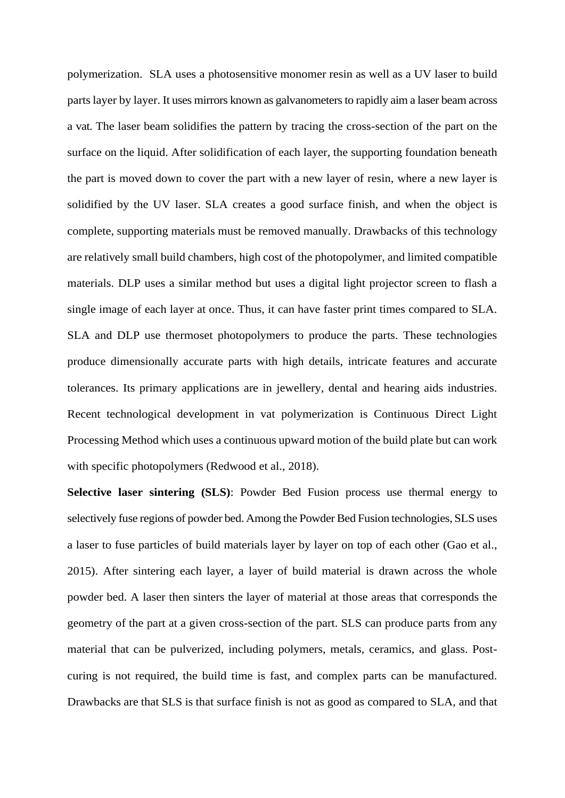polymerization. SLA uses a photosensitive monomer resin as well as a UV laser to build parts layer by layer. It uses mirrors known as galvanometers to rapidly aim a laser beam across a vat. The laser beam solidifies the pattern by tracing the cross-section of the part on the surface on the liquid. After solidification of each layer, the supporting foundation beneath the part is moved down to cover the part with a new layer of resin, where a new layer is solidified by the UV laser. SLA creates a good surface finish, and when the object is complete, supporting materials must be removed manually. Drawbacks of this technology are relatively small build chambers, high cost of the photopolymer, and limited compatible materials. DLP uses a similar method but uses a digital light projector screen to flash a single image of each layer at once. Thus, it can have faster print times compared to SLA. SLA and DLP use thermoset photopolymers to produce the parts. These technologies produce dimensionally accurate parts with high details, intricate features and accurate tolerances. Its primary applications are in jewellery, dental and hearing aids industries. Recent technological development in vat polymerization is Continuous Direct Light Processing Method which uses a continuous upward motion of the build plate but can work with specific photopolymers (Redwood et al., 2018).

**Selective laser sintering (SLS)**: Powder Bed Fusion process use thermal energy to selectively fuse regions of powder bed. Among the Powder Bed Fusion technologies, SLS uses a laser to fuse particles of build materials layer by layer on top of each other (Gao et al., 2015). After sintering each layer, a layer of build material is drawn across the whole powder bed. A laser then sinters the layer of material at those areas that corresponds the geometry of the part at a given cross-section of the part. SLS can produce parts from any material that can be pulverized, including polymers, metals, ceramics, and glass. Postcuring is not required, the build time is fast, and complex parts can be manufactured. Drawbacks are that SLS is that surface finish is not as good as compared to SLA, and that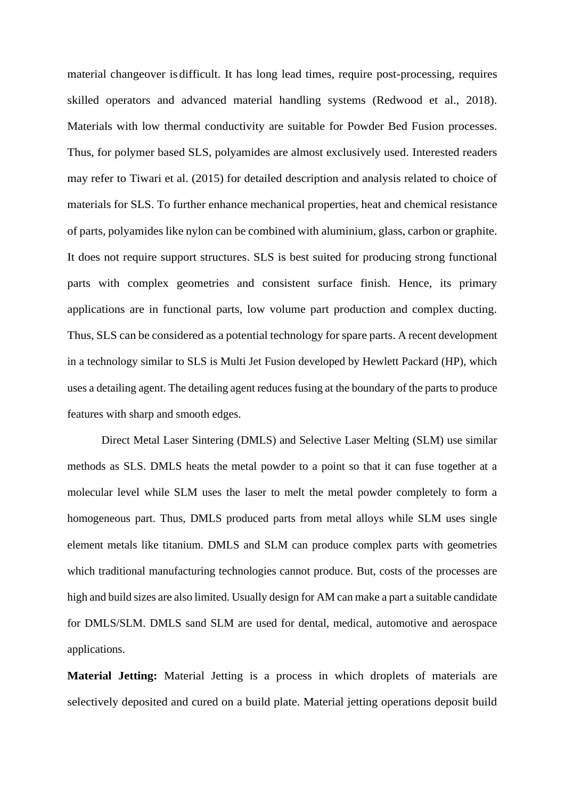material changeover is difficult. It has long lead times, require post-processing, requires skilled operators and advanced material handling systems (Redwood et al., 2018). Materials with low thermal conductivity are suitable for Powder Bed Fusion processes. Thus, for polymer based SLS, polyamides are almost exclusively used. Interested readers may refer to Tiwari et al. (2015) for detailed description and analysis related to choice of materials for SLS. To further enhance mechanical properties, heat and chemical resistance of parts, polyamides like nylon can be combined with aluminium, glass, carbon or graphite. It does not require support structures. SLS is best suited for producing strong functional parts with complex geometries and consistent surface finish. Hence, its primary applications are in functional parts, low volume part production and complex ducting. Thus, SLS can be considered as a potential technology for spare parts. A recent development in a technology similar to SLS is Multi Jet Fusion developed by Hewlett Packard (HP), which uses a detailing agent. The detailing agent reduces fusing at the boundary of the parts to produce features with sharp and smooth edges.

Direct Metal Laser Sintering (DMLS) and Selective Laser Melting (SLM) use similar methods as SLS. DMLS heats the metal powder to a point so that it can fuse together at a molecular level while SLM uses the laser to melt the metal powder completely to form a homogeneous part. Thus, DMLS produced parts from metal alloys while SLM uses single element metals like titanium. DMLS and SLM can produce complex parts with geometries which traditional manufacturing technologies cannot produce. But, costs of the processes are high and build sizes are also limited. Usually design for AM can make a part a suitable candidate for DMLS/SLM. DMLS sand SLM are used for dental, medical, automotive and aerospace applications.

**Material Jetting:** Material Jetting is a process in which droplets of materials are selectively deposited and cured on a build plate. Material jetting operations deposit build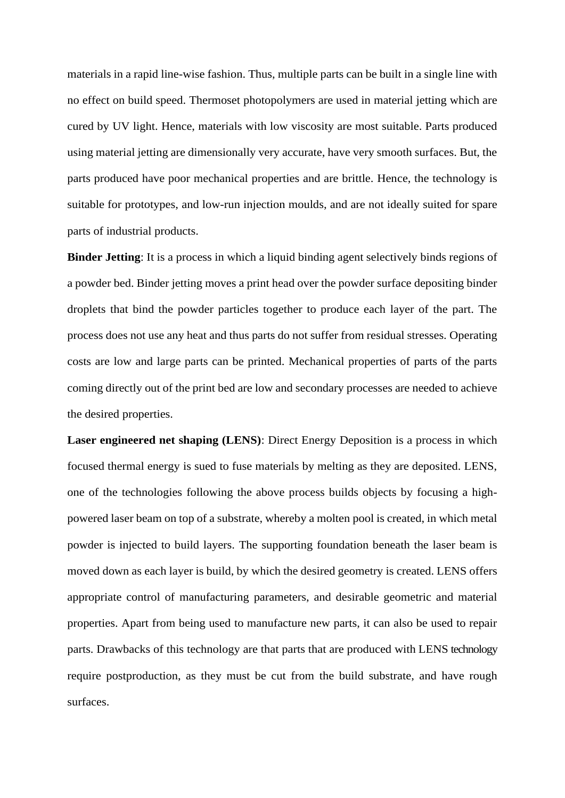materials in a rapid line-wise fashion. Thus, multiple parts can be built in a single line with no effect on build speed. Thermoset photopolymers are used in material jetting which are cured by UV light. Hence, materials with low viscosity are most suitable. Parts produced using material jetting are dimensionally very accurate, have very smooth surfaces. But, the parts produced have poor mechanical properties and are brittle. Hence, the technology is suitable for prototypes, and low-run injection moulds, and are not ideally suited for spare parts of industrial products.

**Binder Jetting**: It is a process in which a liquid binding agent selectively binds regions of a powder bed. Binder jetting moves a print head over the powder surface depositing binder droplets that bind the powder particles together to produce each layer of the part. The process does not use any heat and thus parts do not suffer from residual stresses. Operating costs are low and large parts can be printed. Mechanical properties of parts of the parts coming directly out of the print bed are low and secondary processes are needed to achieve the desired properties.

**Laser engineered net shaping (LENS)**: Direct Energy Deposition is a process in which focused thermal energy is sued to fuse materials by melting as they are deposited. LENS, one of the technologies following the above process builds objects by focusing a highpowered laser beam on top of a substrate, whereby a molten pool is created, in which metal powder is injected to build layers. The supporting foundation beneath the laser beam is moved down as each layer is build, by which the desired geometry is created. LENS offers appropriate control of manufacturing parameters, and desirable geometric and material properties. Apart from being used to manufacture new parts, it can also be used to repair parts. Drawbacks of this technology are that parts that are produced with LENS technology require postproduction, as they must be cut from the build substrate, and have rough surfaces.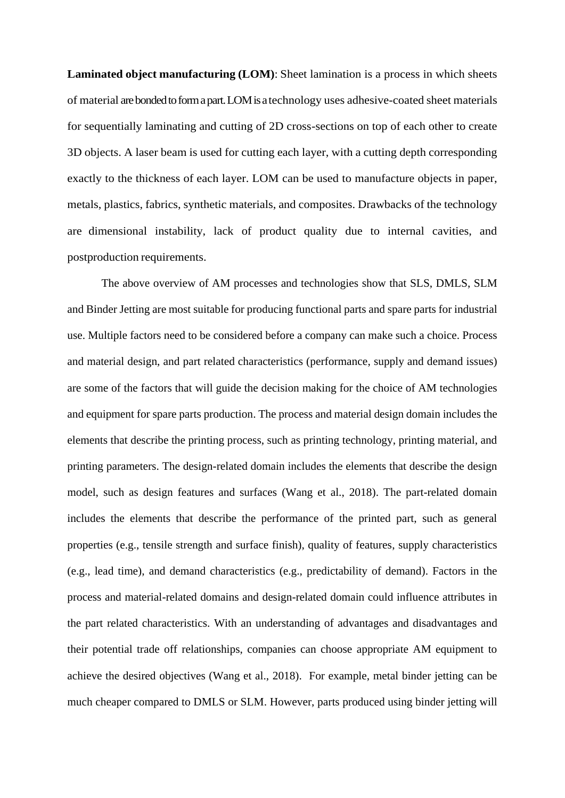**Laminated object manufacturing (LOM)**: Sheet lamination is a process in which sheets of material are bonded to form a part. LOM is a technology uses adhesive-coated sheet materials for sequentially laminating and cutting of 2D cross-sections on top of each other to create 3D objects. A laser beam is used for cutting each layer, with a cutting depth corresponding exactly to the thickness of each layer. LOM can be used to manufacture objects in paper, metals, plastics, fabrics, synthetic materials, and composites. Drawbacks of the technology are dimensional instability, lack of product quality due to internal cavities, and postproduction requirements.

The above overview of AM processes and technologies show that SLS, DMLS, SLM and Binder Jetting are most suitable for producing functional parts and spare parts for industrial use. Multiple factors need to be considered before a company can make such a choice. Process and material design, and part related characteristics (performance, supply and demand issues) are some of the factors that will guide the decision making for the choice of AM technologies and equipment for spare parts production. The process and material design domain includes the elements that describe the printing process, such as printing technology, printing material, and printing parameters. The design-related domain includes the elements that describe the design model, such as design features and surfaces (Wang et al., 2018). The part-related domain includes the elements that describe the performance of the printed part, such as general properties (e.g., tensile strength and surface finish), quality of features, supply characteristics (e.g., lead time), and demand characteristics (e.g., predictability of demand). Factors in the process and material-related domains and design-related domain could influence attributes in the part related characteristics. With an understanding of advantages and disadvantages and their potential trade off relationships, companies can choose appropriate AM equipment to achieve the desired objectives (Wang et al., 2018). For example, metal binder jetting can be much cheaper compared to DMLS or SLM. However, parts produced using binder jetting will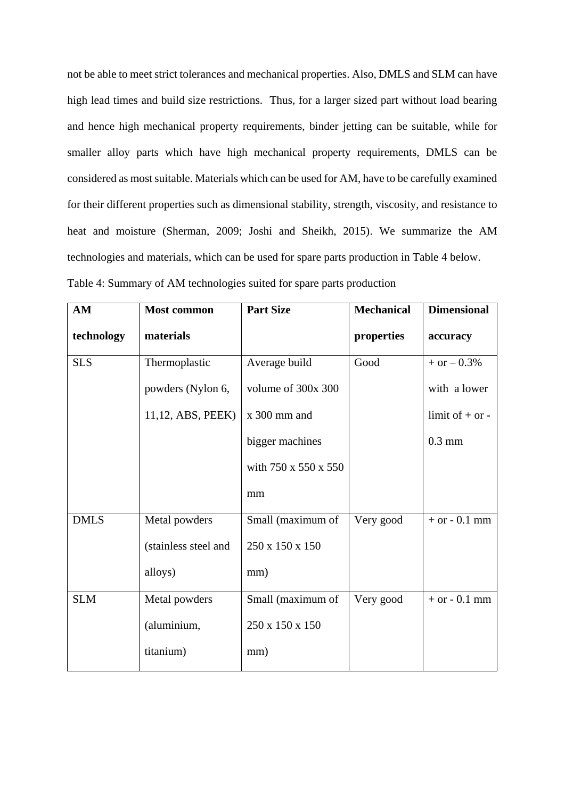not be able to meet strict tolerances and mechanical properties. Also, DMLS and SLM can have high lead times and build size restrictions. Thus, for a larger sized part without load bearing and hence high mechanical property requirements, binder jetting can be suitable, while for smaller alloy parts which have high mechanical property requirements, DMLS can be considered as most suitable. Materials which can be used for AM, have to be carefully examined for their different properties such as dimensional stability, strength, viscosity, and resistance to heat and moisture (Sherman, 2009; Joshi and Sheikh, 2015). We summarize the AM technologies and materials, which can be used for spare parts production in Table 4 below.

| Table 4: Summary of AM technologies suited for spare parts production |  |  |  |
|-----------------------------------------------------------------------|--|--|--|
|                                                                       |  |  |  |

| AM          | <b>Most common</b>   | <b>Part Size</b>     | <b>Mechanical</b> | <b>Dimensional</b>  |
|-------------|----------------------|----------------------|-------------------|---------------------|
| technology  | materials            |                      | properties        | accuracy            |
| <b>SLS</b>  | Thermoplastic        | Average build        | Good              | $+$ or $-$ 0.3%     |
|             | powders (Nylon 6,    | volume of 300x 300   |                   | with a lower        |
|             | 11,12, ABS, PEEK)    | x 300 mm and         |                   | limit of $+$ or $-$ |
|             |                      | bigger machines      |                   | $0.3$ mm            |
|             |                      | with 750 x 550 x 550 |                   |                     |
|             |                      | mm                   |                   |                     |
| <b>DMLS</b> | Metal powders        | Small (maximum of    | Very good         | $+$ or $-$ 0.1 mm   |
|             | (stainless steel and | 250 x 150 x 150      |                   |                     |
|             | alloys)              | mm)                  |                   |                     |
| <b>SLM</b>  | Metal powders        | Small (maximum of    | Very good         | $+$ or $-$ 0.1 mm   |
|             | (aluminium,          | 250 x 150 x 150      |                   |                     |
|             | titanium)            | mm)                  |                   |                     |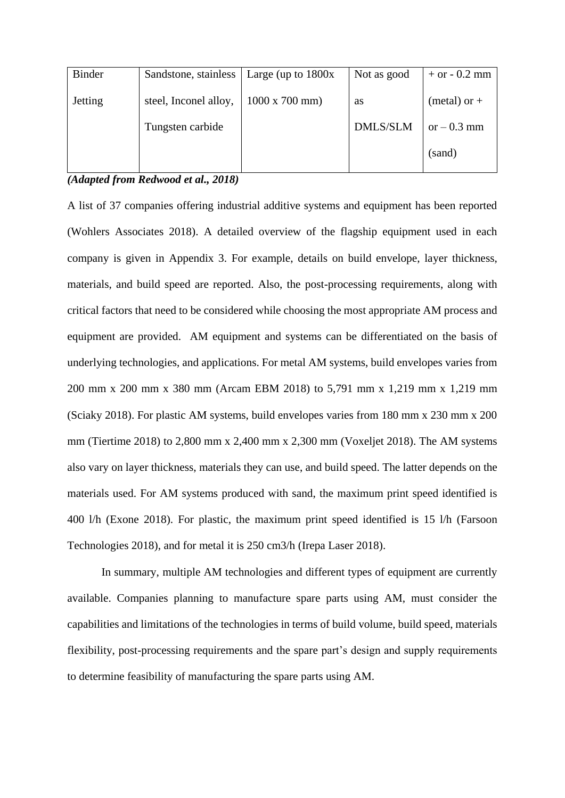| <b>Binder</b>  | Sandstone, stainless  | Large (up to $1800x$           | Not as good     | $+$ or $-$ 0.2 mm |
|----------------|-----------------------|--------------------------------|-----------------|-------------------|
| <b>Jetting</b> | steel, Inconel alloy, | $1000 \times 700 \text{ mm}$ ) | <b>as</b>       | (metal) or $+$    |
|                | Tungsten carbide      |                                | <b>DMLS/SLM</b> | or $-0.3$ mm      |
|                |                       |                                |                 | (sand)            |

## *(Adapted from Redwood et al., 2018)*

A list of 37 companies offering industrial additive systems and equipment has been reported (Wohlers Associates 2018). A detailed overview of the flagship equipment used in each company is given in Appendix 3. For example, details on build envelope, layer thickness, materials, and build speed are reported. Also, the post-processing requirements, along with critical factors that need to be considered while choosing the most appropriate AM process and equipment are provided. AM equipment and systems can be differentiated on the basis of underlying technologies, and applications. For metal AM systems, build envelopes varies from 200 mm x 200 mm x 380 mm (Arcam EBM 2018) to 5,791 mm x 1,219 mm x 1,219 mm (Sciaky 2018). For plastic AM systems, build envelopes varies from 180 mm x 230 mm x 200 mm (Tiertime 2018) to 2,800 mm x 2,400 mm x 2,300 mm (Voxeljet 2018). The AM systems also vary on layer thickness, materials they can use, and build speed. The latter depends on the materials used. For AM systems produced with sand, the maximum print speed identified is 400 l/h (Exone 2018). For plastic, the maximum print speed identified is 15 l/h (Farsoon Technologies 2018), and for metal it is 250 cm3/h (Irepa Laser 2018).

In summary, multiple AM technologies and different types of equipment are currently available. Companies planning to manufacture spare parts using AM, must consider the capabilities and limitations of the technologies in terms of build volume, build speed, materials flexibility, post-processing requirements and the spare part's design and supply requirements to determine feasibility of manufacturing the spare parts using AM.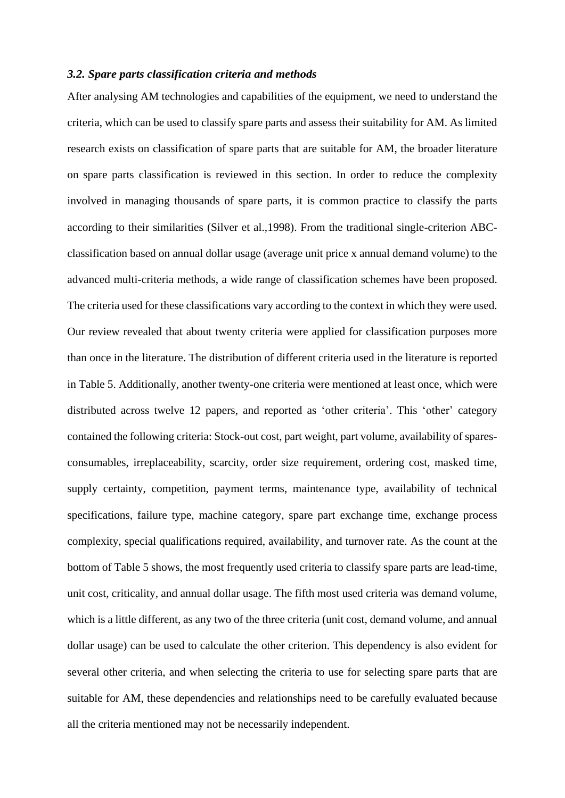#### *3.2. Spare parts classification criteria and methods*

After analysing AM technologies and capabilities of the equipment, we need to understand the criteria, which can be used to classify spare parts and assess their suitability for AM. As limited research exists on classification of spare parts that are suitable for AM, the broader literature on spare parts classification is reviewed in this section. In order to reduce the complexity involved in managing thousands of spare parts, it is common practice to classify the parts according to their similarities (Silver et al.,1998). From the traditional single-criterion ABCclassification based on annual dollar usage (average unit price x annual demand volume) to the advanced multi-criteria methods, a wide range of classification schemes have been proposed. The criteria used for these classifications vary according to the context in which they were used. Our review revealed that about twenty criteria were applied for classification purposes more than once in the literature. The distribution of different criteria used in the literature is reported in Table 5. Additionally, another twenty-one criteria were mentioned at least once, which were distributed across twelve 12 papers, and reported as 'other criteria'. This 'other' category contained the following criteria: Stock-out cost, part weight, part volume, availability of sparesconsumables, irreplaceability, scarcity, order size requirement, ordering cost, masked time, supply certainty, competition, payment terms, maintenance type, availability of technical specifications, failure type, machine category, spare part exchange time, exchange process complexity, special qualifications required, availability, and turnover rate. As the count at the bottom of Table 5 shows, the most frequently used criteria to classify spare parts are lead-time, unit cost, criticality, and annual dollar usage. The fifth most used criteria was demand volume, which is a little different, as any two of the three criteria (unit cost, demand volume, and annual dollar usage) can be used to calculate the other criterion. This dependency is also evident for several other criteria, and when selecting the criteria to use for selecting spare parts that are suitable for AM, these dependencies and relationships need to be carefully evaluated because all the criteria mentioned may not be necessarily independent.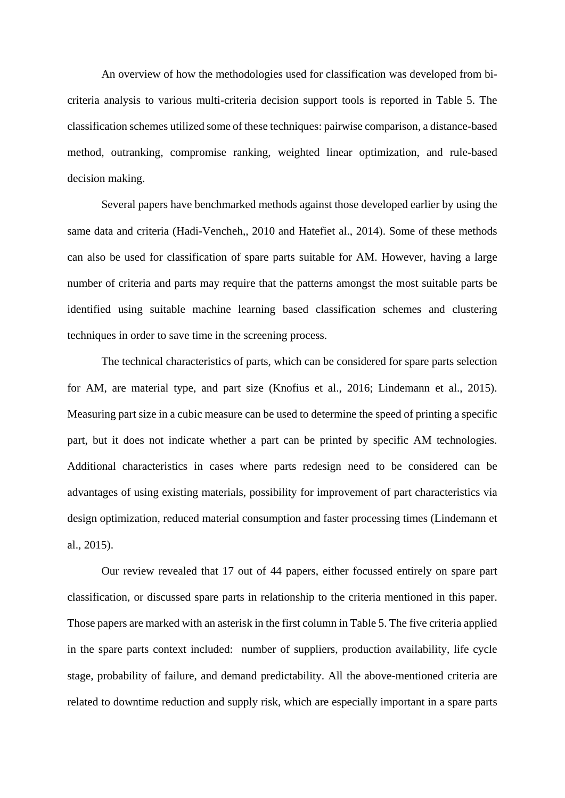An overview of how the methodologies used for classification was developed from bicriteria analysis to various multi-criteria decision support tools is reported in Table 5. The classification schemes utilized some of these techniques: pairwise comparison, a distance-based method, outranking, compromise ranking, weighted linear optimization, and rule-based decision making.

Several papers have benchmarked methods against those developed earlier by using the same data and criteria (Hadi-Vencheh,, 2010 and Hatefiet al., 2014). Some of these methods can also be used for classification of spare parts suitable for AM. However, having a large number of criteria and parts may require that the patterns amongst the most suitable parts be identified using suitable machine learning based classification schemes and clustering techniques in order to save time in the screening process.

The technical characteristics of parts, which can be considered for spare parts selection for AM, are material type, and part size (Knofius et al., 2016; Lindemann et al., 2015). Measuring part size in a cubic measure can be used to determine the speed of printing a specific part, but it does not indicate whether a part can be printed by specific AM technologies. Additional characteristics in cases where parts redesign need to be considered can be advantages of using existing materials, possibility for improvement of part characteristics via design optimization, reduced material consumption and faster processing times (Lindemann et al., 2015).

Our review revealed that 17 out of 44 papers, either focussed entirely on spare part classification, or discussed spare parts in relationship to the criteria mentioned in this paper. Those papers are marked with an asterisk in the first column in Table 5. The five criteria applied in the spare parts context included: number of suppliers, production availability, life cycle stage, probability of failure, and demand predictability. All the above-mentioned criteria are related to downtime reduction and supply risk, which are especially important in a spare parts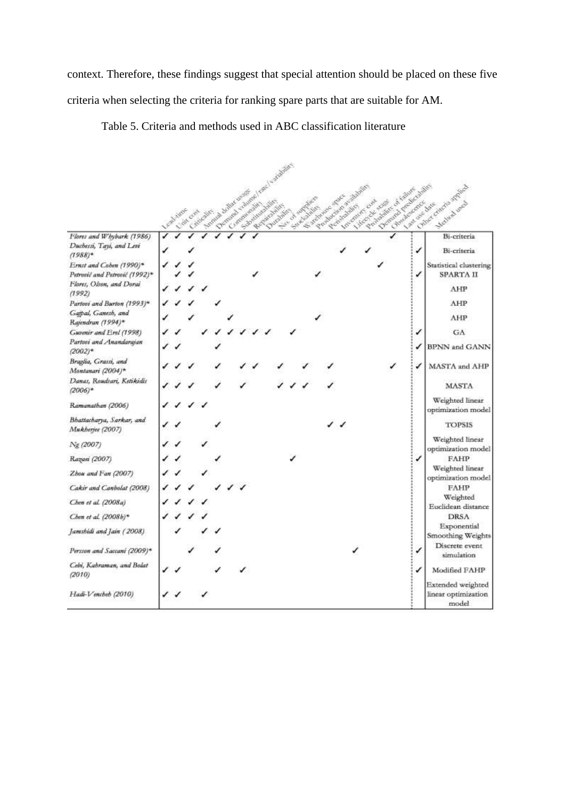context. Therefore, these findings suggest that special attention should be placed on these five criteria when selecting the criteria for ranking spare parts that are suitable for AM.

Table 5. Criteria and methods used in ABC classification literature

|                                                                      | · Call views | L'oit cop | A Complete Meridian Complete Apple | Contract company ( new 1 symbolist) |  |  |  | Anthony of American | Capital Contract Space |  | Controller de la Britaine | Inventor cost | Control of the Control of Landscape Capital |   | Chine Concre small<br>A March 2014<br>Melled level |
|----------------------------------------------------------------------|--------------|-----------|------------------------------------|-------------------------------------|--|--|--|---------------------|------------------------|--|---------------------------|---------------|---------------------------------------------|---|----------------------------------------------------|
|                                                                      |              |           |                                    |                                     |  |  |  |                     |                        |  |                           |               |                                             |   |                                                    |
| Flores and Whybark (1986).<br>Duchessi, Tayi, and Levi<br>$(1988)^*$ |              |           |                                    |                                     |  |  |  |                     |                        |  |                           |               |                                             | ✓ | Bi-criteria<br>Bi-criteria                         |
| Ernst and Coben (1990)*<br>Petrović and Petrović (1992)*             |              |           |                                    |                                     |  |  |  |                     |                        |  |                           |               |                                             | ✓ | Statistical clustering<br>SPARTA II                |
| Flores, Olson, and Dorai<br>(1992)                                   |              |           |                                    |                                     |  |  |  |                     |                        |  |                           |               |                                             |   | AHP                                                |
| Partovi and Burton (1993)*                                           |              |           |                                    |                                     |  |  |  |                     |                        |  |                           |               |                                             |   | AHP                                                |
| Gaipal, Ganesh, and<br>Rajendran (1994)*                             |              |           |                                    |                                     |  |  |  |                     |                        |  |                           |               |                                             |   | AHP                                                |
| Guvenir and Erel (1998)                                              |              |           |                                    |                                     |  |  |  |                     |                        |  |                           |               |                                             | ✓ | GA                                                 |
| Partovi and Anandarajan<br>$(2002)*$                                 |              |           |                                    |                                     |  |  |  |                     |                        |  |                           |               |                                             |   | <b>BPNN</b> and GANN                               |
| Braglia, Grassi, and<br>Montanari (2004)*                            |              |           |                                    |                                     |  |  |  |                     |                        |  |                           |               |                                             | ✓ | MASTA and AHP                                      |
| Danas, Roudsari, Ketikidis<br>$(2006)*$                              |              |           |                                    |                                     |  |  |  |                     |                        |  |                           |               |                                             |   | <b>MASTA</b>                                       |
| Ramanathan (2006)                                                    |              |           |                                    |                                     |  |  |  |                     |                        |  |                           |               |                                             |   | Weighted linear<br>optimization model              |
| Bhattacharya, Sarkar, and<br>Mukherjes (2007)                        |              |           |                                    |                                     |  |  |  |                     |                        |  |                           |               |                                             |   | <b>TOPSIS</b>                                      |
| Ng (2007)                                                            |              |           |                                    |                                     |  |  |  |                     |                        |  |                           |               |                                             |   | Weighted linear<br>optimization model              |
| Razaei (2007)                                                        |              |           |                                    |                                     |  |  |  |                     |                        |  |                           |               |                                             | ✓ | FAHP                                               |
| Zhou and Fan (2007)                                                  |              |           |                                    |                                     |  |  |  |                     |                        |  |                           |               |                                             |   | Weighted linear<br>optimization model              |
| Cakir and Canbolat (2008)                                            |              |           |                                    |                                     |  |  |  |                     |                        |  |                           |               |                                             |   | FAHP                                               |
| Chen et al. (2008a)                                                  |              |           |                                    |                                     |  |  |  |                     |                        |  |                           |               |                                             |   | Weighted<br>Euclidean distance                     |
| Chen et al. (2008b)*                                                 |              |           |                                    |                                     |  |  |  |                     |                        |  |                           |               |                                             |   | <b>DRSA</b>                                        |
| Jamshidi and Jain (2008)                                             |              |           |                                    |                                     |  |  |  |                     |                        |  |                           |               |                                             |   | Exponential<br>Smoothing Weights                   |
| Persson and Saccani (2009)*                                          |              |           |                                    |                                     |  |  |  |                     |                        |  |                           |               |                                             |   | Discrete event<br>simulation                       |
| Cebi, Kahraman, and Bolat<br>(2010)                                  |              |           |                                    |                                     |  |  |  |                     |                        |  |                           |               |                                             |   | Modified FAHP                                      |
| Hadi-Vencheh (2010)                                                  |              |           |                                    |                                     |  |  |  |                     |                        |  |                           |               |                                             |   | Extended weighted<br>linear optimization<br>model  |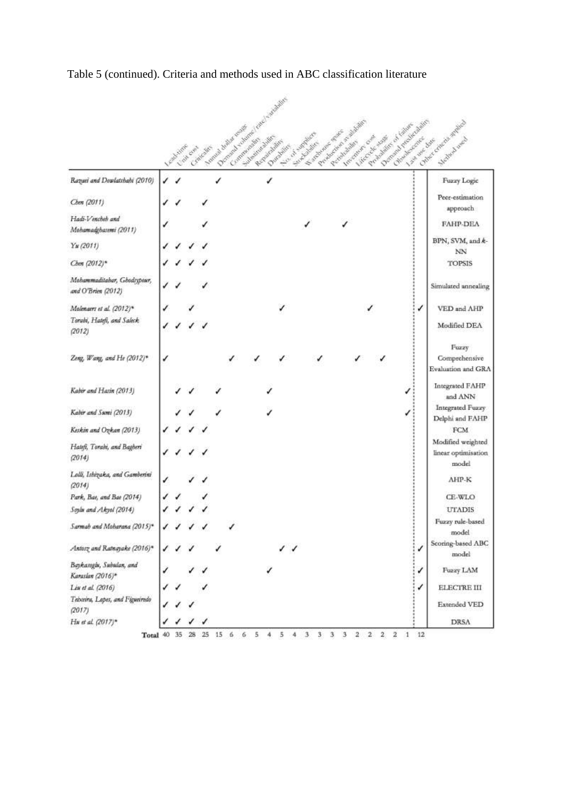|                                                                  | And time |  | Dominica columns (enclosed substitute<br>According to the control of the state of the control of |   | Durantee, | No occupants of ore to<br>Let de mondiale | Procedure of Brighton<br>Involvement over |  | Demonstration of Checkenham<br>Contract of Manufacture of Landscott | Johnste Line | College Grand Amples<br>McNeck ward               |
|------------------------------------------------------------------|----------|--|--------------------------------------------------------------------------------------------------|---|-----------|-------------------------------------------|-------------------------------------------|--|---------------------------------------------------------------------|--------------|---------------------------------------------------|
| Rayasi and Dowlatshahi (2010)                                    |          |  |                                                                                                  | ✓ |           |                                           |                                           |  |                                                                     |              | Fuzzy Logic                                       |
| Chen (2011)                                                      |          |  |                                                                                                  |   |           |                                           |                                           |  |                                                                     |              | Peer-estimation<br>approach                       |
| Hadi-Vencheh and<br>Mohamadghasemi (2011)                        |          |  |                                                                                                  |   |           |                                           |                                           |  |                                                                     |              | FAHP-DEA                                          |
| Yu(2011)                                                         |          |  |                                                                                                  |   |           |                                           |                                           |  |                                                                     |              | BPN, SVM, and k-                                  |
| Chen (2012)*                                                     |          |  |                                                                                                  |   |           |                                           |                                           |  |                                                                     |              | NΝ<br><b>TOPSIS</b>                               |
| Mohammaditabar, Ghodrypeur,<br>and O'Brien (2012)                |          |  |                                                                                                  |   |           |                                           |                                           |  |                                                                     |              | Simulated annealing                               |
| Molenaers et al. (2012)*<br>Torabi, Hatefi, and Saleck<br>(2012) |          |  |                                                                                                  |   |           |                                           |                                           |  |                                                                     | √            | VED and AHP<br>Modified DEA                       |
| Zeng, Wang, and He (2012)*                                       |          |  |                                                                                                  |   |           |                                           |                                           |  |                                                                     |              | Fuzzy<br>Comprehensive<br>Evaluation and GRA      |
| Kabir and Hasin (2013)                                           |          |  |                                                                                                  |   |           |                                           |                                           |  |                                                                     |              | Integrated FAHP<br>and ANN                        |
| Kabir and Sumi (2013)                                            |          |  |                                                                                                  |   |           |                                           |                                           |  |                                                                     |              | Integrated Fuzzy<br>Delphi and FAHP               |
| Keskin and Ozkan (2013)                                          |          |  |                                                                                                  |   |           |                                           |                                           |  |                                                                     |              | FCM                                               |
| Hatefi, Torabi, and Bagberi<br>(2014)                            |          |  |                                                                                                  |   |           |                                           |                                           |  |                                                                     |              | Modified weighted<br>linear optimisation<br>model |
| Lolli, Ishizaka, and Gamberini<br>(2014)                         |          |  |                                                                                                  |   |           |                                           |                                           |  |                                                                     |              | AHP-K                                             |
| Park, Bae, and Bae (2014)                                        |          |  |                                                                                                  |   |           |                                           |                                           |  |                                                                     |              | CE-WLO                                            |
| Soylu and Akyol (2014)                                           |          |  |                                                                                                  |   |           |                                           |                                           |  |                                                                     |              | <b>UTADIS</b>                                     |
| Sarmab and Moharana (2015)*                                      |          |  |                                                                                                  |   |           |                                           |                                           |  |                                                                     |              | Fuzzy rule-based<br>model                         |
| Antorz and Ratnayake (2016)*                                     |          |  |                                                                                                  |   |           |                                           |                                           |  |                                                                     | √            | Scoring-based ABC<br>model                        |
| Baykasoglu, Subulan, and<br>Karaslan (2016)*                     |          |  |                                                                                                  |   |           |                                           |                                           |  |                                                                     | √            | Fuzzy LAM                                         |
| Liu et al. (2016)                                                |          |  |                                                                                                  |   |           |                                           |                                           |  |                                                                     | √            | ELECTRE III                                       |
| Teixeira, Lopes, and Figueiredo<br>(2017)                        |          |  |                                                                                                  |   |           |                                           |                                           |  |                                                                     |              | Extended VED                                      |
| Hu et al. (2017)*                                                |          |  |                                                                                                  |   |           |                                           |                                           |  |                                                                     |              | DRSA                                              |

# Table 5 (continued). Criteria and methods used in ABC classification literature

Total 40 35 28 25 15 6 6 5 4 5 4 3 3 3 3 3 2 2 2 2 1 12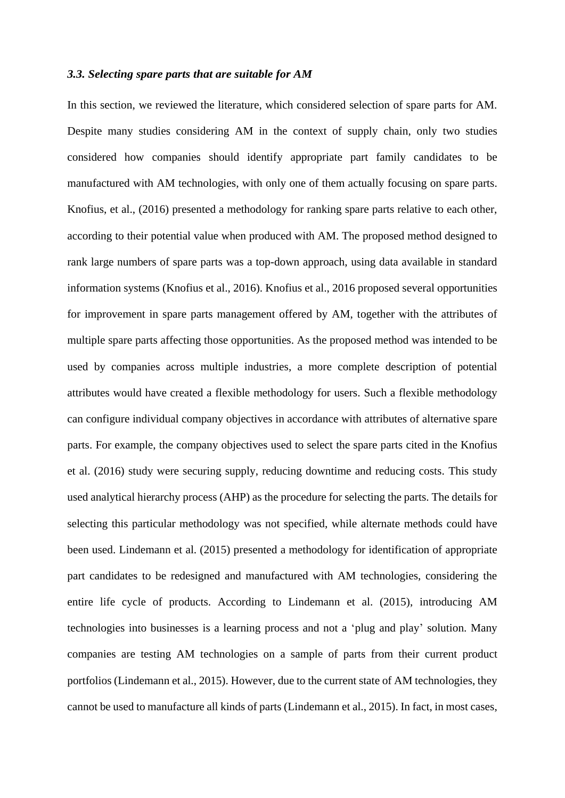#### *3.3. Selecting spare parts that are suitable for AM*

In this section, we reviewed the literature, which considered selection of spare parts for AM. Despite many studies considering AM in the context of supply chain, only two studies considered how companies should identify appropriate part family candidates to be manufactured with AM technologies, with only one of them actually focusing on spare parts. Knofius, et al., (2016) presented a methodology for ranking spare parts relative to each other, according to their potential value when produced with AM. The proposed method designed to rank large numbers of spare parts was a top-down approach, using data available in standard information systems (Knofius et al., 2016). Knofius et al., 2016 proposed several opportunities for improvement in spare parts management offered by AM, together with the attributes of multiple spare parts affecting those opportunities. As the proposed method was intended to be used by companies across multiple industries, a more complete description of potential attributes would have created a flexible methodology for users. Such a flexible methodology can configure individual company objectives in accordance with attributes of alternative spare parts. For example, the company objectives used to select the spare parts cited in the Knofius et al. (2016) study were securing supply, reducing downtime and reducing costs. This study used analytical hierarchy process (AHP) as the procedure for selecting the parts. The details for selecting this particular methodology was not specified, while alternate methods could have been used. Lindemann et al. (2015) presented a methodology for identification of appropriate part candidates to be redesigned and manufactured with AM technologies, considering the entire life cycle of products. According to Lindemann et al. (2015), introducing AM technologies into businesses is a learning process and not a 'plug and play' solution. Many companies are testing AM technologies on a sample of parts from their current product portfolios (Lindemann et al., 2015). However, due to the current state of AM technologies, they cannot be used to manufacture all kinds of parts (Lindemann et al., 2015). In fact, in most cases,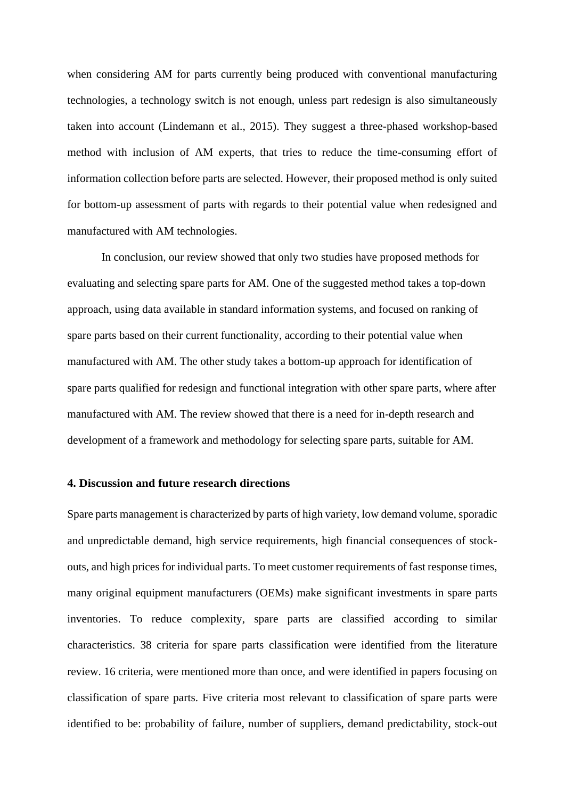when considering AM for parts currently being produced with conventional manufacturing technologies, a technology switch is not enough, unless part redesign is also simultaneously taken into account (Lindemann et al., 2015). They suggest a three-phased workshop-based method with inclusion of AM experts, that tries to reduce the time-consuming effort of information collection before parts are selected. However, their proposed method is only suited for bottom-up assessment of parts with regards to their potential value when redesigned and manufactured with AM technologies.

In conclusion, our review showed that only two studies have proposed methods for evaluating and selecting spare parts for AM. One of the suggested method takes a top-down approach, using data available in standard information systems, and focused on ranking of spare parts based on their current functionality, according to their potential value when manufactured with AM. The other study takes a bottom-up approach for identification of spare parts qualified for redesign and functional integration with other spare parts, where after manufactured with AM. The review showed that there is a need for in-depth research and development of a framework and methodology for selecting spare parts, suitable for AM.

## **4. Discussion and future research directions**

Spare parts management is characterized by parts of high variety, low demand volume, sporadic and unpredictable demand, high service requirements, high financial consequences of stockouts, and high prices for individual parts. To meet customer requirements of fast response times, many original equipment manufacturers (OEMs) make significant investments in spare parts inventories. To reduce complexity, spare parts are classified according to similar characteristics. 38 criteria for spare parts classification were identified from the literature review. 16 criteria, were mentioned more than once, and were identified in papers focusing on classification of spare parts. Five criteria most relevant to classification of spare parts were identified to be: probability of failure, number of suppliers, demand predictability, stock-out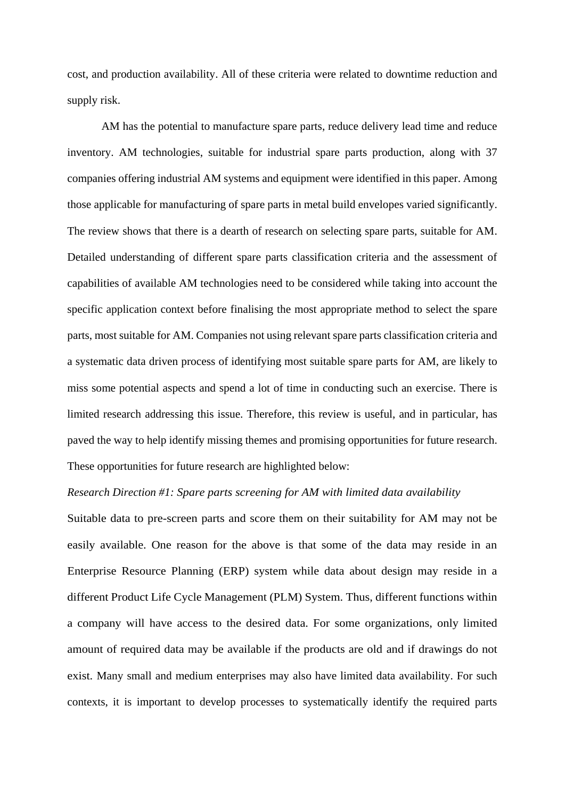cost, and production availability. All of these criteria were related to downtime reduction and supply risk.

AM has the potential to manufacture spare parts, reduce delivery lead time and reduce inventory. AM technologies, suitable for industrial spare parts production, along with 37 companies offering industrial AM systems and equipment were identified in this paper. Among those applicable for manufacturing of spare parts in metal build envelopes varied significantly. The review shows that there is a dearth of research on selecting spare parts, suitable for AM. Detailed understanding of different spare parts classification criteria and the assessment of capabilities of available AM technologies need to be considered while taking into account the specific application context before finalising the most appropriate method to select the spare parts, most suitable for AM. Companies not using relevant spare parts classification criteria and a systematic data driven process of identifying most suitable spare parts for AM, are likely to miss some potential aspects and spend a lot of time in conducting such an exercise. There is limited research addressing this issue. Therefore, this review is useful, and in particular, has paved the way to help identify missing themes and promising opportunities for future research. These opportunities for future research are highlighted below:

#### *Research Direction #1: Spare parts screening for AM with limited data availability*

Suitable data to pre-screen parts and score them on their suitability for AM may not be easily available. One reason for the above is that some of the data may reside in an Enterprise Resource Planning (ERP) system while data about design may reside in a different Product Life Cycle Management (PLM) System. Thus, different functions within a company will have access to the desired data. For some organizations, only limited amount of required data may be available if the products are old and if drawings do not exist. Many small and medium enterprises may also have limited data availability. For such contexts, it is important to develop processes to systematically identify the required parts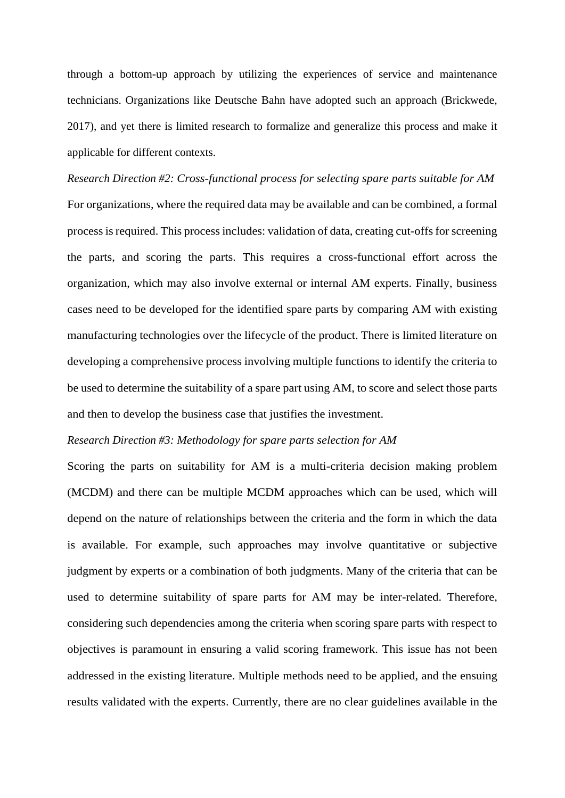through a bottom-up approach by utilizing the experiences of service and maintenance technicians. Organizations like Deutsche Bahn have adopted such an approach (Brickwede, 2017), and yet there is limited research to formalize and generalize this process and make it applicable for different contexts.

*Research Direction #2: Cross-functional process for selecting spare parts suitable for AM*  For organizations, where the required data may be available and can be combined, a formal process is required. This process includes: validation of data, creating cut-offs for screening the parts, and scoring the parts. This requires a cross-functional effort across the organization, which may also involve external or internal AM experts. Finally, business cases need to be developed for the identified spare parts by comparing AM with existing manufacturing technologies over the lifecycle of the product. There is limited literature on developing a comprehensive process involving multiple functions to identify the criteria to be used to determine the suitability of a spare part using AM, to score and select those parts and then to develop the business case that justifies the investment.

## *Research Direction #3: Methodology for spare parts selection for AM*

Scoring the parts on suitability for AM is a multi-criteria decision making problem (MCDM) and there can be multiple MCDM approaches which can be used, which will depend on the nature of relationships between the criteria and the form in which the data is available. For example, such approaches may involve quantitative or subjective judgment by experts or a combination of both judgments. Many of the criteria that can be used to determine suitability of spare parts for AM may be inter-related. Therefore, considering such dependencies among the criteria when scoring spare parts with respect to objectives is paramount in ensuring a valid scoring framework. This issue has not been addressed in the existing literature. Multiple methods need to be applied, and the ensuing results validated with the experts. Currently, there are no clear guidelines available in the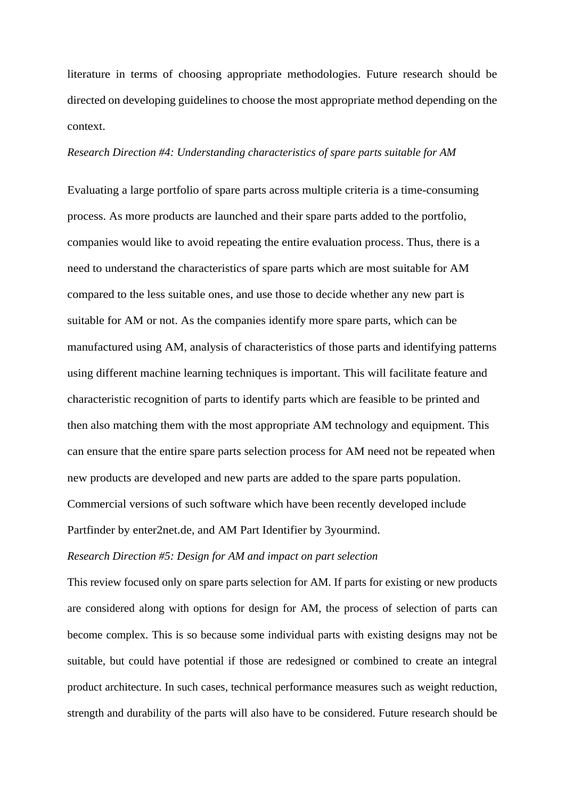literature in terms of choosing appropriate methodologies. Future research should be directed on developing guidelines to choose the most appropriate method depending on the context.

## *Research Direction #4: Understanding characteristics of spare parts suitable for AM*

Evaluating a large portfolio of spare parts across multiple criteria is a time-consuming process. As more products are launched and their spare parts added to the portfolio, companies would like to avoid repeating the entire evaluation process. Thus, there is a need to understand the characteristics of spare parts which are most suitable for AM compared to the less suitable ones, and use those to decide whether any new part is suitable for AM or not. As the companies identify more spare parts, which can be manufactured using AM, analysis of characteristics of those parts and identifying patterns using different machine learning techniques is important. This will facilitate feature and characteristic recognition of parts to identify parts which are feasible to be printed and then also matching them with the most appropriate AM technology and equipment. This can ensure that the entire spare parts selection process for AM need not be repeated when new products are developed and new parts are added to the spare parts population. Commercial versions of such software which have been recently developed include Partfinder by enter2net.de, and AM Part Identifier by 3yourmind.

#### *Research Direction #5: Design for AM and impact on part selection*

This review focused only on spare parts selection for AM. If parts for existing or new products are considered along with options for design for AM, the process of selection of parts can become complex. This is so because some individual parts with existing designs may not be suitable, but could have potential if those are redesigned or combined to create an integral product architecture. In such cases, technical performance measures such as weight reduction, strength and durability of the parts will also have to be considered. Future research should be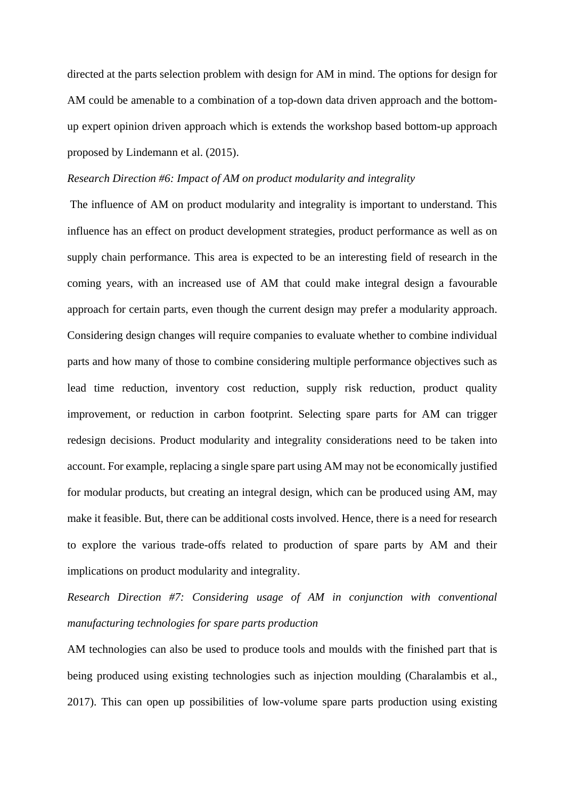directed at the parts selection problem with design for AM in mind. The options for design for AM could be amenable to a combination of a top-down data driven approach and the bottomup expert opinion driven approach which is extends the workshop based bottom-up approach proposed by Lindemann et al. (2015).

## *Research Direction #6: Impact of AM on product modularity and integrality*

The influence of AM on product modularity and integrality is important to understand. This influence has an effect on product development strategies, product performance as well as on supply chain performance. This area is expected to be an interesting field of research in the coming years, with an increased use of AM that could make integral design a favourable approach for certain parts, even though the current design may prefer a modularity approach. Considering design changes will require companies to evaluate whether to combine individual parts and how many of those to combine considering multiple performance objectives such as lead time reduction, inventory cost reduction, supply risk reduction, product quality improvement, or reduction in carbon footprint. Selecting spare parts for AM can trigger redesign decisions. Product modularity and integrality considerations need to be taken into account. For example, replacing a single spare part using AM may not be economically justified for modular products, but creating an integral design, which can be produced using AM, may make it feasible. But, there can be additional costs involved. Hence, there is a need for research to explore the various trade-offs related to production of spare parts by AM and their implications on product modularity and integrality.

*Research Direction #7: Considering usage of AM in conjunction with conventional manufacturing technologies for spare parts production*

AM technologies can also be used to produce tools and moulds with the finished part that is being produced using existing technologies such as injection moulding (Charalambis et al., 2017). This can open up possibilities of low-volume spare parts production using existing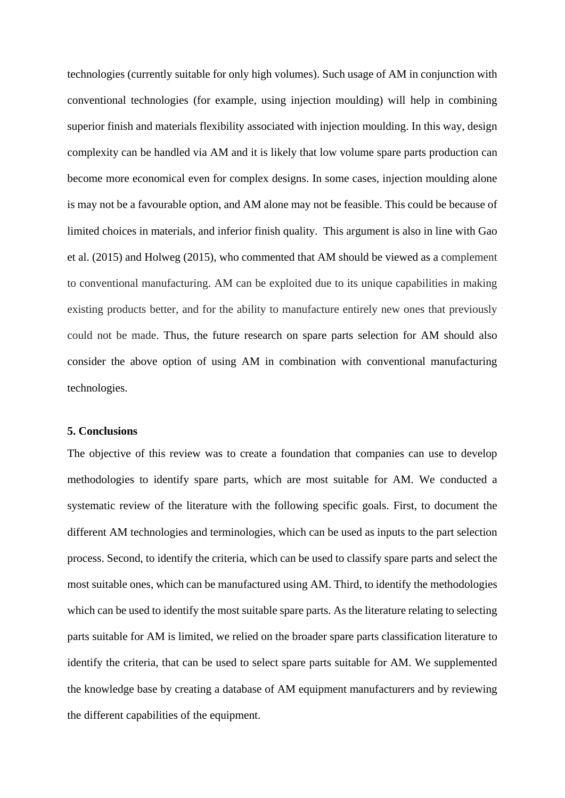technologies (currently suitable for only high volumes). Such usage of AM in conjunction with conventional technologies (for example, using injection moulding) will help in combining superior finish and materials flexibility associated with injection moulding. In this way, design complexity can be handled via AM and it is likely that low volume spare parts production can become more economical even for complex designs. In some cases, injection moulding alone is may not be a favourable option, and AM alone may not be feasible. This could be because of limited choices in materials, and inferior finish quality. This argument is also in line with Gao et al. (2015) and Holweg (2015), who commented that AM should be viewed as a complement to conventional manufacturing. AM can be exploited due to its unique capabilities in making existing products better, and for the ability to manufacture entirely new ones that previously could not be made. Thus, the future research on spare parts selection for AM should also consider the above option of using AM in combination with conventional manufacturing technologies.

#### **5. Conclusions**

The objective of this review was to create a foundation that companies can use to develop methodologies to identify spare parts, which are most suitable for AM. We conducted a systematic review of the literature with the following specific goals. First, to document the different AM technologies and terminologies, which can be used as inputs to the part selection process. Second, to identify the criteria, which can be used to classify spare parts and select the most suitable ones, which can be manufactured using AM. Third, to identify the methodologies which can be used to identify the most suitable spare parts. As the literature relating to selecting parts suitable for AM is limited, we relied on the broader spare parts classification literature to identify the criteria, that can be used to select spare parts suitable for AM. We supplemented the knowledge base by creating a database of AM equipment manufacturers and by reviewing the different capabilities of the equipment.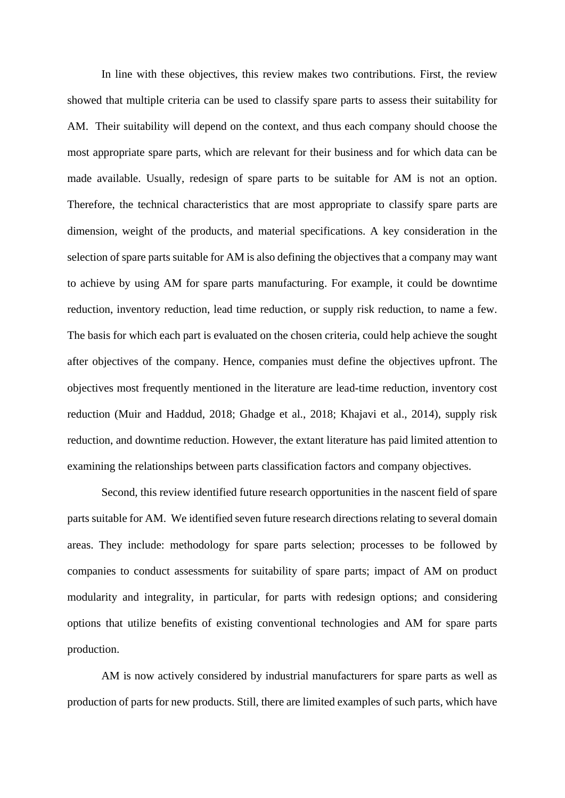In line with these objectives, this review makes two contributions. First, the review showed that multiple criteria can be used to classify spare parts to assess their suitability for AM. Their suitability will depend on the context, and thus each company should choose the most appropriate spare parts, which are relevant for their business and for which data can be made available. Usually, redesign of spare parts to be suitable for AM is not an option. Therefore, the technical characteristics that are most appropriate to classify spare parts are dimension, weight of the products, and material specifications. A key consideration in the selection of spare parts suitable for AM is also defining the objectives that a company may want to achieve by using AM for spare parts manufacturing. For example, it could be downtime reduction, inventory reduction, lead time reduction, or supply risk reduction, to name a few. The basis for which each part is evaluated on the chosen criteria, could help achieve the sought after objectives of the company. Hence, companies must define the objectives upfront. The objectives most frequently mentioned in the literature are lead-time reduction, inventory cost reduction (Muir and Haddud, 2018; Ghadge et al., 2018; Khajavi et al., 2014), supply risk reduction, and downtime reduction. However, the extant literature has paid limited attention to examining the relationships between parts classification factors and company objectives.

Second, this review identified future research opportunities in the nascent field of spare parts suitable for AM. We identified seven future research directions relating to several domain areas. They include: methodology for spare parts selection; processes to be followed by companies to conduct assessments for suitability of spare parts; impact of AM on product modularity and integrality, in particular, for parts with redesign options; and considering options that utilize benefits of existing conventional technologies and AM for spare parts production.

AM is now actively considered by industrial manufacturers for spare parts as well as production of parts for new products. Still, there are limited examples of such parts, which have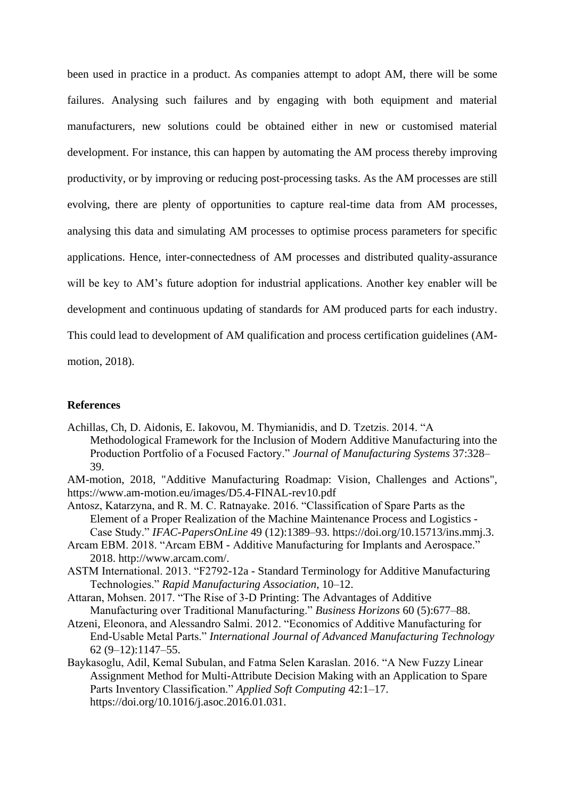been used in practice in a product. As companies attempt to adopt AM, there will be some failures. Analysing such failures and by engaging with both equipment and material manufacturers, new solutions could be obtained either in new or customised material development. For instance, this can happen by automating the AM process thereby improving productivity, or by improving or reducing post-processing tasks. As the AM processes are still evolving, there are plenty of opportunities to capture real-time data from AM processes, analysing this data and simulating AM processes to optimise process parameters for specific applications. Hence, inter-connectedness of AM processes and distributed quality-assurance will be key to AM's future adoption for industrial applications. Another key enabler will be development and continuous updating of standards for AM produced parts for each industry. This could lead to development of AM qualification and process certification guidelines (AMmotion, 2018).

#### **References**

Achillas, Ch, D. Aidonis, E. Iakovou, M. Thymianidis, and D. Tzetzis. 2014. "A Methodological Framework for the Inclusion of Modern Additive Manufacturing into the Production Portfolio of a Focused Factory." *Journal of Manufacturing Systems* 37:328– 39.

AM-motion, 2018, "Additive Manufacturing Roadmap: Vision, Challenges and Actions", https://www.am-motion.eu/images/D5.4-FINAL-rev10.pdf

Antosz, Katarzyna, and R. M. C. Ratnayake. 2016. "Classification of Spare Parts as the Element of a Proper Realization of the Machine Maintenance Process and Logistics - Case Study." *IFAC-PapersOnLine* 49 (12):1389–93. https://doi.org/10.15713/ins.mmj.3.

- Arcam EBM. 2018. "Arcam EBM Additive Manufacturing for Implants and Aerospace." 2018. http://www.arcam.com/.
- ASTM International. 2013. "F2792-12a Standard Terminology for Additive Manufacturing Technologies." *Rapid Manufacturing Association*, 10–12.

Attaran, Mohsen. 2017. "The Rise of 3-D Printing: The Advantages of Additive Manufacturing over Traditional Manufacturing." *Business Horizons* 60 (5):677–88.

- Atzeni, Eleonora, and Alessandro Salmi. 2012. "Economics of Additive Manufacturing for End-Usable Metal Parts." *International Journal of Advanced Manufacturing Technology* 62 (9–12):1147–55.
- Baykasoglu, Adil, Kemal Subulan, and Fatma Selen Karaslan. 2016. "A New Fuzzy Linear Assignment Method for Multi-Attribute Decision Making with an Application to Spare Parts Inventory Classification." *Applied Soft Computing* 42:1–17. https://doi.org/10.1016/j.asoc.2016.01.031.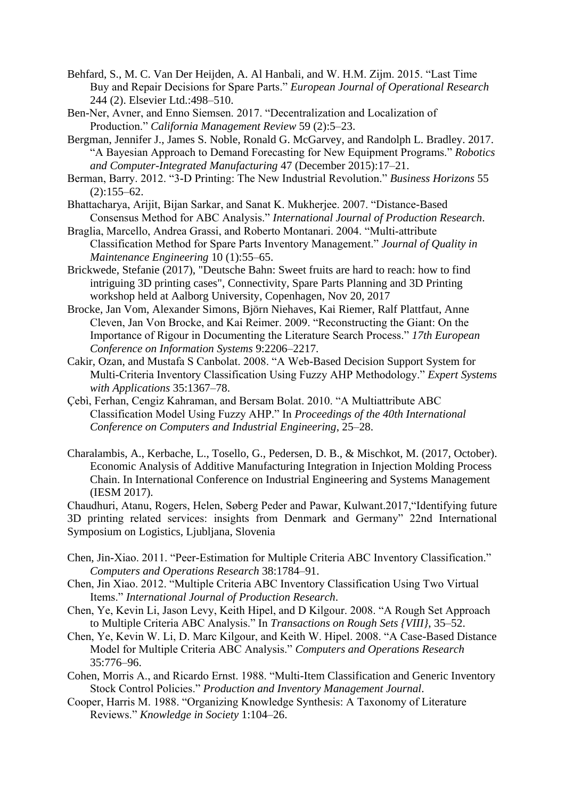- Behfard, S., M. C. Van Der Heijden, A. Al Hanbali, and W. H.M. Zijm. 2015. "Last Time Buy and Repair Decisions for Spare Parts." *European Journal of Operational Research* 244 (2). Elsevier Ltd.:498–510.
- Ben-Ner, Avner, and Enno Siemsen. 2017. "Decentralization and Localization of Production." *California Management Review* 59 (2):5–23.
- Bergman, Jennifer J., James S. Noble, Ronald G. McGarvey, and Randolph L. Bradley. 2017. "A Bayesian Approach to Demand Forecasting for New Equipment Programs." *Robotics and Computer-Integrated Manufacturing* 47 (December 2015):17–21.
- Berman, Barry. 2012. "3-D Printing: The New Industrial Revolution." *Business Horizons* 55  $(2):155-62.$
- Bhattacharya, Arijit, Bijan Sarkar, and Sanat K. Mukherjee. 2007. "Distance-Based Consensus Method for ABC Analysis." *International Journal of Production Research*.
- Braglia, Marcello, Andrea Grassi, and Roberto Montanari. 2004. "Multi-attribute Classification Method for Spare Parts Inventory Management." *Journal of Quality in Maintenance Engineering* 10 (1):55–65.
- Brickwede, Stefanie (2017), "Deutsche Bahn: Sweet fruits are hard to reach: how to find intriguing 3D printing cases", Connectivity, Spare Parts Planning and 3D Printing workshop held at Aalborg University, Copenhagen, Nov 20, 2017
- Brocke, Jan Vom, Alexander Simons, Björn Niehaves, Kai Riemer, Ralf Plattfaut, Anne Cleven, Jan Von Brocke, and Kai Reimer. 2009. "Reconstructing the Giant: On the Importance of Rigour in Documenting the Literature Search Process." *17th European Conference on Information Systems* 9:2206–2217.
- Cakir, Ozan, and Mustafa S Canbolat. 2008. "A Web-Based Decision Support System for Multi-Criteria Inventory Classification Using Fuzzy AHP Methodology." *Expert Systems with Applications* 35:1367–78.
- Çebì, Ferhan, Cengiz Kahraman, and Bersam Bolat. 2010. "A Multiattribute ABC Classification Model Using Fuzzy AHP." In *Proceedings of the 40th International Conference on Computers and Industrial Engineering*, 25–28.
- Charalambis, A., Kerbache, L., Tosello, G., Pedersen, D. B., & Mischkot, M. (2017, October). Economic Analysis of Additive Manufacturing Integration in Injection Molding Process Chain. In International Conference on Industrial Engineering and Systems Management (IESM 2017).

Chaudhuri, Atanu, Rogers, Helen, Søberg Peder and Pawar, Kulwant.2017,"Identifying future 3D printing related services: insights from Denmark and Germany" 22nd International Symposium on Logistics, Ljubljana, Slovenia

- Chen, Jin-Xiao. 2011. "Peer-Estimation for Multiple Criteria ABC Inventory Classification." *Computers and Operations Research* 38:1784–91.
- Chen, Jin Xiao. 2012. "Multiple Criteria ABC Inventory Classification Using Two Virtual Items." *International Journal of Production Research*.
- Chen, Ye, Kevin Li, Jason Levy, Keith Hipel, and D Kilgour. 2008. "A Rough Set Approach to Multiple Criteria ABC Analysis." In *Transactions on Rough Sets {VIII}*, 35–52.
- Chen, Ye, Kevin W. Li, D. Marc Kilgour, and Keith W. Hipel. 2008. "A Case-Based Distance Model for Multiple Criteria ABC Analysis." *Computers and Operations Research* 35:776–96.
- Cohen, Morris A., and Ricardo Ernst. 1988. "Multi-Item Classification and Generic Inventory Stock Control Policies." *Production and Inventory Management Journal*.
- Cooper, Harris M. 1988. "Organizing Knowledge Synthesis: A Taxonomy of Literature Reviews." *Knowledge in Society* 1:104–26.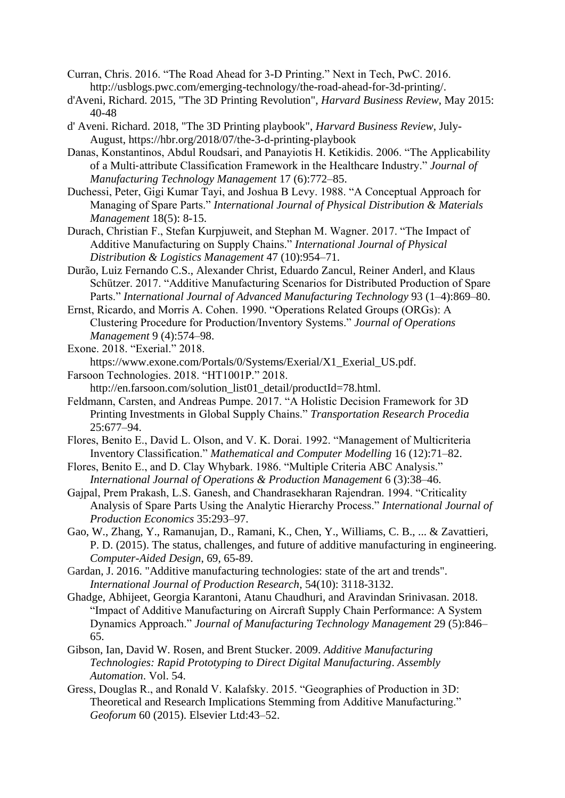- Curran, Chris. 2016. "The Road Ahead for 3-D Printing." Next in Tech, PwC. 2016. http://usblogs.pwc.com/emerging-technology/the-road-ahead-for-3d-printing/.
- d'Aveni, Richard. 2015, "The 3D Printing Revolution", *Harvard Business Review*, May 2015: 40-48
- d' Aveni. Richard. 2018, "The 3D Printing playbook", *Harvard Business Review*, July-August, https://hbr.org/2018/07/the-3-d-printing-playbook
- Danas, Konstantinos, Abdul Roudsari, and Panayiotis H. Ketikidis. 2006. "The Applicability of a Multi‐attribute Classification Framework in the Healthcare Industry." *Journal of Manufacturing Technology Management* 17 (6):772–85.
- Duchessi, Peter, Gigi Kumar Tayi, and Joshua B Levy. 1988. "A Conceptual Approach for Managing of Spare Parts." *International Journal of Physical Distribution & Materials Management* 18(5): 8-15.
- Durach, Christian F., Stefan Kurpjuweit, and Stephan M. Wagner. 2017. "The Impact of Additive Manufacturing on Supply Chains." *International Journal of Physical Distribution & Logistics Management* 47 (10):954–71.
- Durão, Luiz Fernando C.S., Alexander Christ, Eduardo Zancul, Reiner Anderl, and Klaus Schützer. 2017. "Additive Manufacturing Scenarios for Distributed Production of Spare Parts." *International Journal of Advanced Manufacturing Technology* 93 (1–4):869–80.
- Ernst, Ricardo, and Morris A. Cohen. 1990. "Operations Related Groups (ORGs): A Clustering Procedure for Production/Inventory Systems." *Journal of Operations Management* 9 (4):574–98.
- Exone. 2018. "Exerial." 2018.
- https://www.exone.com/Portals/0/Systems/Exerial/X1\_Exerial\_US.pdf. Farsoon Technologies. 2018. "HT1001P." 2018.
	- http://en.farsoon.com/solution\_list01\_detail/productId=78.html.
- Feldmann, Carsten, and Andreas Pumpe. 2017. "A Holistic Decision Framework for 3D Printing Investments in Global Supply Chains." *Transportation Research Procedia* 25:677–94.
- Flores, Benito E., David L. Olson, and V. K. Dorai. 1992. "Management of Multicriteria Inventory Classification." *Mathematical and Computer Modelling* 16 (12):71–82.
- Flores, Benito E., and D. Clay Whybark. 1986. "Multiple Criteria ABC Analysis." *International Journal of Operations & Production Management* 6 (3):38–46.
- Gajpal, Prem Prakash, L.S. Ganesh, and Chandrasekharan Rajendran. 1994. "Criticality Analysis of Spare Parts Using the Analytic Hierarchy Process." *International Journal of Production Economics* 35:293–97.
- Gao, W., Zhang, Y., Ramanujan, D., Ramani, K., Chen, Y., Williams, C. B., ... & Zavattieri, P. D. (2015). The status, challenges, and future of additive manufacturing in engineering. *Computer-Aided Design*, 69, 65-89.
- Gardan, J. 2016. "Additive manufacturing technologies: state of the art and trends". *International Journal of Production Research*, 54(10): 3118-3132.
- Ghadge, Abhijeet, Georgia Karantoni, Atanu Chaudhuri, and Aravindan Srinivasan. 2018. "Impact of Additive Manufacturing on Aircraft Supply Chain Performance: A System Dynamics Approach." *Journal of Manufacturing Technology Management* 29 (5):846– 65.
- Gibson, Ian, David W. Rosen, and Brent Stucker. 2009. *Additive Manufacturing Technologies: Rapid Prototyping to Direct Digital Manufacturing*. *Assembly Automation*. Vol. 54.
- Gress, Douglas R., and Ronald V. Kalafsky. 2015. "Geographies of Production in 3D: Theoretical and Research Implications Stemming from Additive Manufacturing." *Geoforum* 60 (2015). Elsevier Ltd:43–52.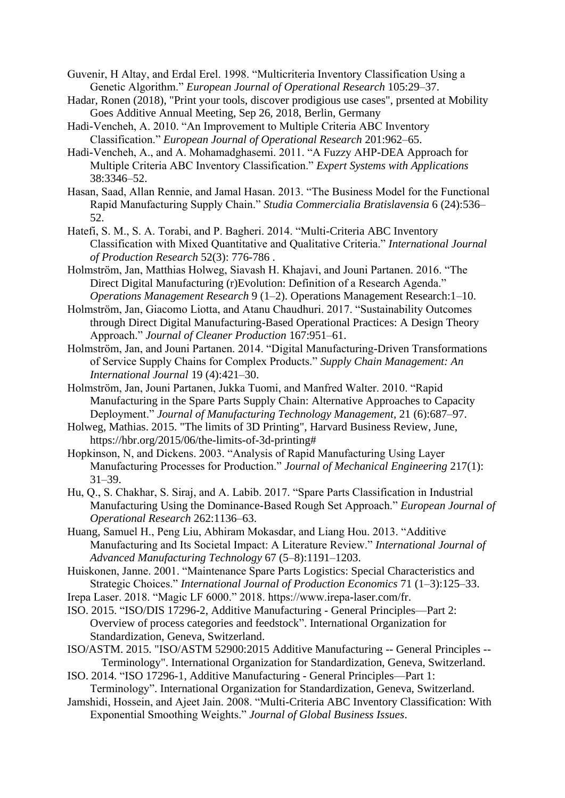- Guvenir, H Altay, and Erdal Erel. 1998. "Multicriteria Inventory Classification Using a Genetic Algorithm." *European Journal of Operational Research* 105:29–37.
- Hadar, Ronen (2018), "Print your tools, discover prodigious use cases", prsented at Mobility Goes Additive Annual Meeting, Sep 26, 2018, Berlin, Germany
- Hadi-Vencheh, A. 2010. "An Improvement to Multiple Criteria ABC Inventory Classification." *European Journal of Operational Research* 201:962–65.
- Hadi-Vencheh, A., and A. Mohamadghasemi. 2011. "A Fuzzy AHP-DEA Approach for Multiple Criteria ABC Inventory Classification." *Expert Systems with Applications* 38:3346–52.
- Hasan, Saad, Allan Rennie, and Jamal Hasan. 2013. "The Business Model for the Functional Rapid Manufacturing Supply Chain." *Studia Commercialia Bratislavensia* 6 (24):536– 52.
- Hatefi, S. M., S. A. Torabi, and P. Bagheri. 2014. "Multi-Criteria ABC Inventory Classification with Mixed Quantitative and Qualitative Criteria." *International Journal of Production Research* 52(3): 776-786 .
- Holmström, Jan, Matthias Holweg, Siavash H. Khajavi, and Jouni Partanen. 2016. "The Direct Digital Manufacturing (r)Evolution: Definition of a Research Agenda." *Operations Management Research* 9 (1–2). Operations Management Research:1–10.
- Holmström, Jan, Giacomo Liotta, and Atanu Chaudhuri. 2017. "Sustainability Outcomes through Direct Digital Manufacturing-Based Operational Practices: A Design Theory Approach." *Journal of Cleaner Production* 167:951–61.
- Holmström, Jan, and Jouni Partanen. 2014. "Digital Manufacturing-Driven Transformations of Service Supply Chains for Complex Products." *Supply Chain Management: An International Journal* 19 (4):421–30.
- Holmström, Jan, Jouni Partanen, Jukka Tuomi, and Manfred Walter. 2010. "Rapid Manufacturing in the Spare Parts Supply Chain: Alternative Approaches to Capacity Deployment." *Journal of Manufacturing Technology Management,* 21 (6):687–97.
- Holweg, Mathias. 2015. "The limits of 3D Printing", Harvard Business Review, June, https://hbr.org/2015/06/the-limits-of-3d-printing#
- Hopkinson, N, and Dickens. 2003. "Analysis of Rapid Manufacturing Using Layer Manufacturing Processes for Production." *Journal of Mechanical Engineering* 217(1): 31–39.
- Hu, Q., S. Chakhar, S. Siraj, and A. Labib. 2017. "Spare Parts Classification in Industrial Manufacturing Using the Dominance-Based Rough Set Approach." *European Journal of Operational Research* 262:1136–63.
- Huang, Samuel H., Peng Liu, Abhiram Mokasdar, and Liang Hou. 2013. "Additive Manufacturing and Its Societal Impact: A Literature Review." *International Journal of Advanced Manufacturing Technology* 67 (5–8):1191–1203.
- Huiskonen, Janne. 2001. "Maintenance Spare Parts Logistics: Special Characteristics and Strategic Choices." *International Journal of Production Economics* 71 (1–3):125–33.
- Irepa Laser. 2018. "Magic LF 6000." 2018. https://www.irepa-laser.com/fr.
- ISO. 2015. "ISO/DIS 17296-2, Additive Manufacturing General Principles—Part 2: Overview of process categories and feedstock". International Organization for Standardization, Geneva, Switzerland.
- ISO/ASTM. 2015. "ISO/ASTM 52900:2015 Additive Manufacturing -- General Principles -- Terminology". International Organization for Standardization, Geneva, Switzerland.
- ISO. 2014. "ISO 17296-1, Additive Manufacturing General Principles—Part 1: Terminology". International Organization for Standardization, Geneva, Switzerland.
- Jamshidi, Hossein, and Ajeet Jain. 2008. "Multi-Criteria ABC Inventory Classification: With Exponential Smoothing Weights." *Journal of Global Business Issues*.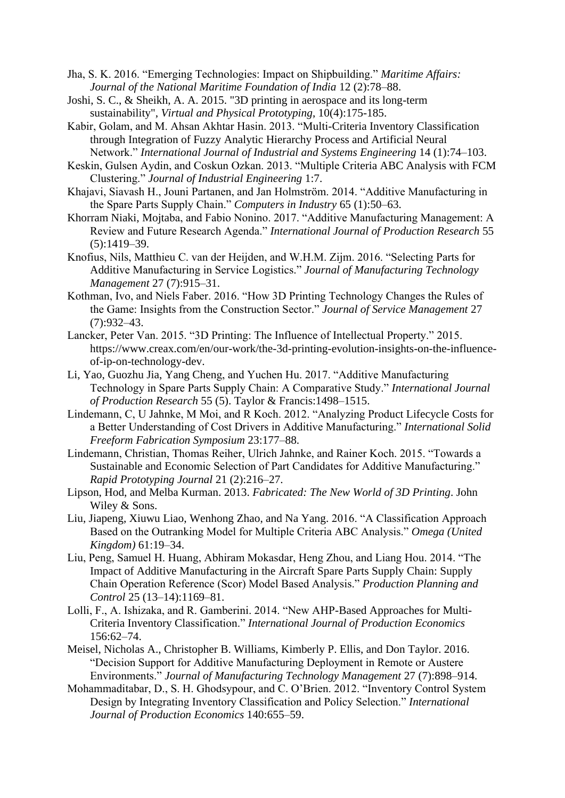- Jha, S. K. 2016. "Emerging Technologies: Impact on Shipbuilding." *Maritime Affairs: Journal of the National Maritime Foundation of India* 12 (2):78–88.
- Joshi, S. C., & Sheikh, A. A. 2015. "3D printing in aerospace and its long-term sustainability", *Virtual and Physical Prototyping*, 10(4):175-185.
- Kabir, Golam, and M. Ahsan Akhtar Hasin. 2013. "Multi-Criteria Inventory Classification through Integration of Fuzzy Analytic Hierarchy Process and Artificial Neural Network." *International Journal of Industrial and Systems Engineering* 14 (1):74–103.
- Keskin, Gulsen Aydin, and Coskun Ozkan. 2013. "Multiple Criteria ABC Analysis with FCM Clustering." *Journal of Industrial Engineering* 1:7.
- Khajavi, Siavash H., Jouni Partanen, and Jan Holmström. 2014. "Additive Manufacturing in the Spare Parts Supply Chain." *Computers in Industry* 65 (1):50–63.
- Khorram Niaki, Mojtaba, and Fabio Nonino. 2017. "Additive Manufacturing Management: A Review and Future Research Agenda." *International Journal of Production Research* 55 (5):1419–39.
- Knofius, Nils, Matthieu C. van der Heijden, and W.H.M. Zijm. 2016. "Selecting Parts for Additive Manufacturing in Service Logistics." *Journal of Manufacturing Technology Management* 27 (7):915–31.
- Kothman, Ivo, and Niels Faber. 2016. "How 3D Printing Technology Changes the Rules of the Game: Insights from the Construction Sector." *Journal of Service Management* 27 (7):932–43.
- Lancker, Peter Van. 2015. "3D Printing: The Influence of Intellectual Property." 2015. https://www.creax.com/en/our-work/the-3d-printing-evolution-insights-on-the-influenceof-ip-on-technology-dev.
- Li, Yao, Guozhu Jia, Yang Cheng, and Yuchen Hu. 2017. "Additive Manufacturing Technology in Spare Parts Supply Chain: A Comparative Study." *International Journal of Production Research* 55 (5). Taylor & Francis:1498–1515.
- Lindemann, C, U Jahnke, M Moi, and R Koch. 2012. "Analyzing Product Lifecycle Costs for a Better Understanding of Cost Drivers in Additive Manufacturing." *International Solid Freeform Fabrication Symposium* 23:177–88.
- Lindemann, Christian, Thomas Reiher, Ulrich Jahnke, and Rainer Koch. 2015. "Towards a Sustainable and Economic Selection of Part Candidates for Additive Manufacturing." *Rapid Prototyping Journal* 21 (2):216–27.
- Lipson, Hod, and Melba Kurman. 2013. *Fabricated: The New World of 3D Printing*. John Wiley & Sons.
- Liu, Jiapeng, Xiuwu Liao, Wenhong Zhao, and Na Yang. 2016. "A Classification Approach Based on the Outranking Model for Multiple Criteria ABC Analysis." *Omega (United Kingdom)* 61:19–34.
- Liu, Peng, Samuel H. Huang, Abhiram Mokasdar, Heng Zhou, and Liang Hou. 2014. "The Impact of Additive Manufacturing in the Aircraft Spare Parts Supply Chain: Supply Chain Operation Reference (Scor) Model Based Analysis." *Production Planning and Control* 25 (13–14):1169–81.
- Lolli, F., A. Ishizaka, and R. Gamberini. 2014. "New AHP-Based Approaches for Multi-Criteria Inventory Classification." *International Journal of Production Economics* 156:62–74.
- Meisel, Nicholas A., Christopher B. Williams, Kimberly P. Ellis, and Don Taylor. 2016. "Decision Support for Additive Manufacturing Deployment in Remote or Austere Environments." *Journal of Manufacturing Technology Management* 27 (7):898–914.
- Mohammaditabar, D., S. H. Ghodsypour, and C. O'Brien. 2012. "Inventory Control System Design by Integrating Inventory Classification and Policy Selection." *International Journal of Production Economics* 140:655–59.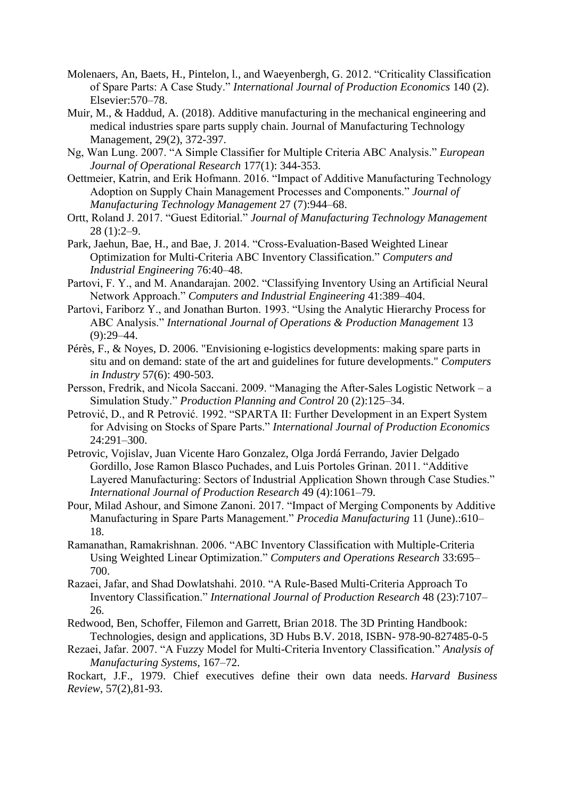- Molenaers, An, Baets, H., Pintelon, l., and Waeyenbergh, G. 2012. "Criticality Classification of Spare Parts: A Case Study." *International Journal of Production Economics* 140 (2). Elsevier:570–78.
- Muir, M., & Haddud, A. (2018). Additive manufacturing in the mechanical engineering and medical industries spare parts supply chain. Journal of Manufacturing Technology Management, 29(2), 372-397.
- Ng, Wan Lung. 2007. "A Simple Classifier for Multiple Criteria ABC Analysis." *European Journal of Operational Research* 177(1): 344-353.
- Oettmeier, Katrin, and Erik Hofmann. 2016. "Impact of Additive Manufacturing Technology Adoption on Supply Chain Management Processes and Components." *Journal of Manufacturing Technology Management* 27 (7):944–68.
- Ortt, Roland J. 2017. "Guest Editorial." *Journal of Manufacturing Technology Management* 28 (1):2–9.
- Park, Jaehun, Bae, H., and Bae, J. 2014. "Cross-Evaluation-Based Weighted Linear Optimization for Multi-Criteria ABC Inventory Classification." *Computers and Industrial Engineering* 76:40–48.
- Partovi, F. Y., and M. Anandarajan. 2002. "Classifying Inventory Using an Artificial Neural Network Approach." *Computers and Industrial Engineering* 41:389–404.
- Partovi, Fariborz Y., and Jonathan Burton. 1993. "Using the Analytic Hierarchy Process for ABC Analysis." *International Journal of Operations & Production Management* 13  $(9):29-44.$
- Pérès, F., & Noyes, D. 2006. "Envisioning e-logistics developments: making spare parts in situ and on demand: state of the art and guidelines for future developments." *Computers in Industry* 57(6): 490-503.
- Persson, Fredrik, and Nicola Saccani. 2009. "Managing the After-Sales Logistic Network a Simulation Study." *Production Planning and Control* 20 (2):125–34.
- Petrović, D., and R Petrović. 1992. "SPARTA II: Further Development in an Expert System for Advising on Stocks of Spare Parts." *International Journal of Production Economics* 24:291–300.
- Petrovic, Vojislav, Juan Vicente Haro Gonzalez, Olga Jordá Ferrando, Javier Delgado Gordillo, Jose Ramon Blasco Puchades, and Luis Portoles Grinan. 2011. "Additive Layered Manufacturing: Sectors of Industrial Application Shown through Case Studies." *International Journal of Production Research* 49 (4):1061–79.
- Pour, Milad Ashour, and Simone Zanoni. 2017. "Impact of Merging Components by Additive Manufacturing in Spare Parts Management." *Procedia Manufacturing* 11 (June).:610– 18.
- Ramanathan, Ramakrishnan. 2006. "ABC Inventory Classification with Multiple-Criteria Using Weighted Linear Optimization." *Computers and Operations Research* 33:695– 700.
- Razaei, Jafar, and Shad Dowlatshahi. 2010. "A Rule-Based Multi-Criteria Approach To Inventory Classification." *International Journal of Production Research* 48 (23):7107– 26.
- Redwood, Ben, Schoffer, Filemon and Garrett, Brian 2018. The 3D Printing Handbook: Technologies, design and applications, 3D Hubs B.V. 2018, ISBN- 978-90-827485-0-5
- Rezaei, Jafar. 2007. "A Fuzzy Model for Multi-Criteria Inventory Classification." *Analysis of Manufacturing Systems*, 167–72.

Rockart, J.F., 1979. Chief executives define their own data needs. *Harvard Business Review*, 57(2),81-93.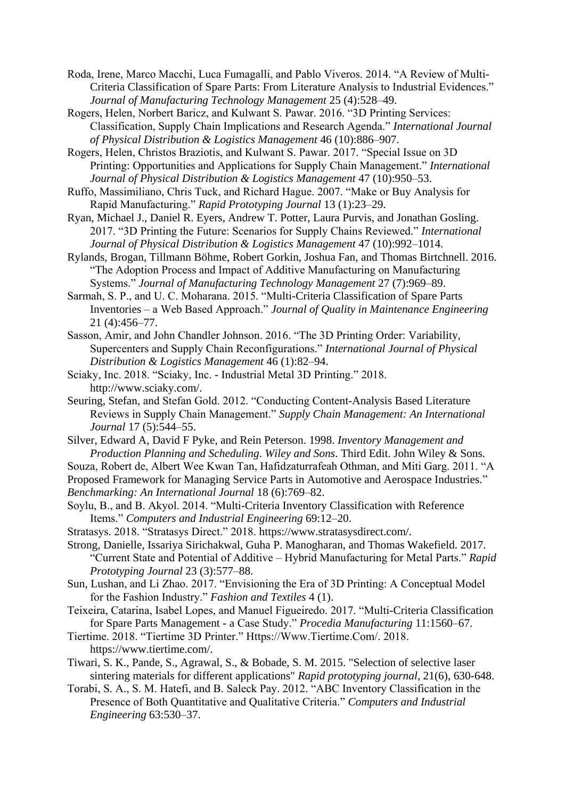Roda, Irene, Marco Macchi, Luca Fumagalli, and Pablo Viveros. 2014. "A Review of Multi-Criteria Classification of Spare Parts: From Literature Analysis to Industrial Evidences." *Journal of Manufacturing Technology Management* 25 (4):528–49.

Rogers, Helen, Norbert Baricz, and Kulwant S. Pawar. 2016. "3D Printing Services: Classification, Supply Chain Implications and Research Agenda." *International Journal of Physical Distribution & Logistics Management* 46 (10):886–907.

Rogers, Helen, Christos Braziotis, and Kulwant S. Pawar. 2017. "Special Issue on 3D Printing: Opportunities and Applications for Supply Chain Management." *International Journal of Physical Distribution & Logistics Management* 47 (10):950–53.

Ruffo, Massimiliano, Chris Tuck, and Richard Hague. 2007. "Make or Buy Analysis for Rapid Manufacturing." *Rapid Prototyping Journal* 13 (1):23–29.

Ryan, Michael J., Daniel R. Eyers, Andrew T. Potter, Laura Purvis, and Jonathan Gosling. 2017. "3D Printing the Future: Scenarios for Supply Chains Reviewed." *International Journal of Physical Distribution & Logistics Management* 47 (10):992–1014.

Rylands, Brogan, Tillmann Böhme, Robert Gorkin, Joshua Fan, and Thomas Birtchnell. 2016. "The Adoption Process and Impact of Additive Manufacturing on Manufacturing Systems." *Journal of Manufacturing Technology Management* 27 (7):969–89.

Sarmah, S. P., and U. C. Moharana. 2015. "Multi-Criteria Classification of Spare Parts Inventories – a Web Based Approach." *Journal of Quality in Maintenance Engineering* 21 (4):456–77.

Sasson, Amir, and John Chandler Johnson. 2016. "The 3D Printing Order: Variability, Supercenters and Supply Chain Reconfigurations." *International Journal of Physical Distribution & Logistics Management* 46 (1):82–94.

Sciaky, Inc. 2018. "Sciaky, Inc. - Industrial Metal 3D Printing." 2018. http://www.sciaky.com/.

Seuring, Stefan, and Stefan Gold. 2012. "Conducting Content-Analysis Based Literature Reviews in Supply Chain Management." *Supply Chain Management: An International Journal* 17 (5):544–55.

Silver, Edward A, David F Pyke, and Rein Peterson. 1998. *Inventory Management and Production Planning and Scheduling*. *Wiley and Sons*. Third Edit. John Wiley & Sons.

Souza, Robert de, Albert Wee Kwan Tan, Hafidzaturrafeah Othman, and Miti Garg. 2011. "A

Proposed Framework for Managing Service Parts in Automotive and Aerospace Industries." *Benchmarking: An International Journal* 18 (6):769–82.

Soylu, B., and B. Akyol. 2014. "Multi-Criteria Inventory Classification with Reference Items." *Computers and Industrial Engineering* 69:12–20.

Stratasys. 2018. "Stratasys Direct." 2018. https://www.stratasysdirect.com/.

Strong, Danielle, Issariya Sirichakwal, Guha P. Manogharan, and Thomas Wakefield. 2017. "Current State and Potential of Additive – Hybrid Manufacturing for Metal Parts." *Rapid Prototyping Journal* 23 (3):577–88.

Sun, Lushan, and Li Zhao. 2017. "Envisioning the Era of 3D Printing: A Conceptual Model for the Fashion Industry." *Fashion and Textiles* 4 (1).

Teixeira, Catarina, Isabel Lopes, and Manuel Figueiredo. 2017. "Multi-Criteria Classification for Spare Parts Management - a Case Study." *Procedia Manufacturing* 11:1560–67.

Tiertime. 2018. "Tiertime 3D Printer." Https://Www.Tiertime.Com/. 2018. https://www.tiertime.com/.

Tiwari, S. K., Pande, S., Agrawal, S., & Bobade, S. M. 2015. "Selection of selective laser sintering materials for different applications" *Rapid prototyping journal*, 21(6), 630-648.

Torabi, S. A., S. M. Hatefi, and B. Saleck Pay. 2012. "ABC Inventory Classification in the Presence of Both Quantitative and Qualitative Criteria." *Computers and Industrial Engineering* 63:530–37.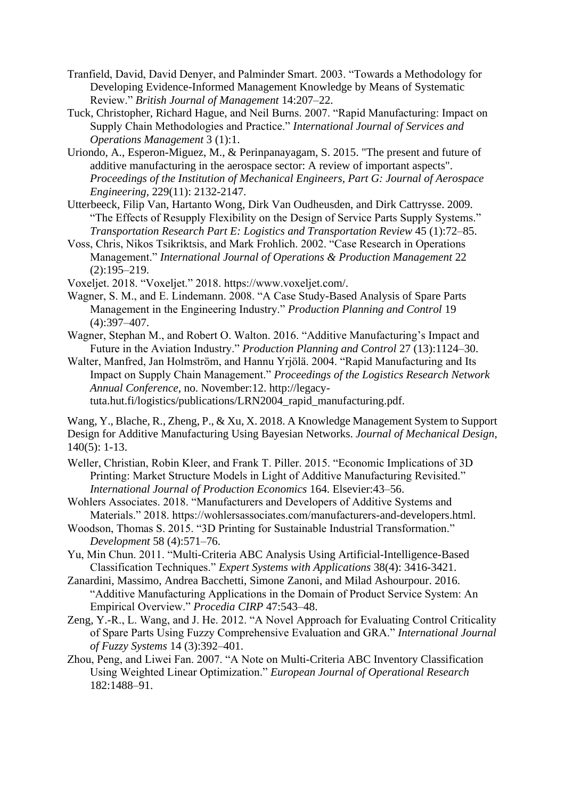- Tranfield, David, David Denyer, and Palminder Smart. 2003. "Towards a Methodology for Developing Evidence-Informed Management Knowledge by Means of Systematic Review." *British Journal of Management* 14:207–22.
- Tuck, Christopher, Richard Hague, and Neil Burns. 2007. "Rapid Manufacturing: Impact on Supply Chain Methodologies and Practice." *International Journal of Services and Operations Management* 3 (1):1.
- Uriondo, A., Esperon-Miguez, M., & Perinpanayagam, S. 2015. "The present and future of additive manufacturing in the aerospace sector: A review of important aspects". *Proceedings of the Institution of Mechanical Engineers, Part G: Journal of Aerospace Engineering*, 229(11): 2132-2147.
- Utterbeeck, Filip Van, Hartanto Wong, Dirk Van Oudheusden, and Dirk Cattrysse. 2009. "The Effects of Resupply Flexibility on the Design of Service Parts Supply Systems." *Transportation Research Part E: Logistics and Transportation Review* 45 (1):72–85.
- Voss, Chris, Nikos Tsikriktsis, and Mark Frohlich. 2002. "Case Research in Operations Management." *International Journal of Operations & Production Management* 22 (2):195–219.
- Voxeljet. 2018. "Voxeljet." 2018. https://www.voxeljet.com/.
- Wagner, S. M., and E. Lindemann. 2008. "A Case Study-Based Analysis of Spare Parts Management in the Engineering Industry." *Production Planning and Control* 19 (4):397–407.
- Wagner, Stephan M., and Robert O. Walton. 2016. "Additive Manufacturing's Impact and Future in the Aviation Industry." *Production Planning and Control* 27 (13):1124–30.
- Walter, Manfred, Jan Holmström, and Hannu Yrjölä. 2004. "Rapid Manufacturing and Its Impact on Supply Chain Management." *Proceedings of the Logistics Research Network Annual Conference*, no. November:12. http://legacytuta.hut.fi/logistics/publications/LRN2004\_rapid\_manufacturing.pdf.

Wang, Y., Blache, R., Zheng, P., & Xu, X. 2018. A Knowledge Management System to Support Design for Additive Manufacturing Using Bayesian Networks. *Journal of Mechanical Design*, 140(5): 1-13.

- Weller, Christian, Robin Kleer, and Frank T. Piller. 2015. "Economic Implications of 3D Printing: Market Structure Models in Light of Additive Manufacturing Revisited." *International Journal of Production Economics* 164. Elsevier:43–56.
- Wohlers Associates. 2018. "Manufacturers and Developers of Additive Systems and Materials." 2018. https://wohlersassociates.com/manufacturers-and-developers.html.
- Woodson, Thomas S. 2015. "3D Printing for Sustainable Industrial Transformation." *Development* 58 (4):571–76.
- Yu, Min Chun. 2011. "Multi-Criteria ABC Analysis Using Artificial-Intelligence-Based Classification Techniques." *Expert Systems with Applications* 38(4): 3416-3421.
- Zanardini, Massimo, Andrea Bacchetti, Simone Zanoni, and Milad Ashourpour. 2016. "Additive Manufacturing Applications in the Domain of Product Service System: An Empirical Overview." *Procedia CIRP* 47:543–48.
- Zeng, Y.-R., L. Wang, and J. He. 2012. "A Novel Approach for Evaluating Control Criticality of Spare Parts Using Fuzzy Comprehensive Evaluation and GRA." *International Journal of Fuzzy Systems* 14 (3):392–401.
- Zhou, Peng, and Liwei Fan. 2007. "A Note on Multi-Criteria ABC Inventory Classification Using Weighted Linear Optimization." *European Journal of Operational Research* 182:1488–91.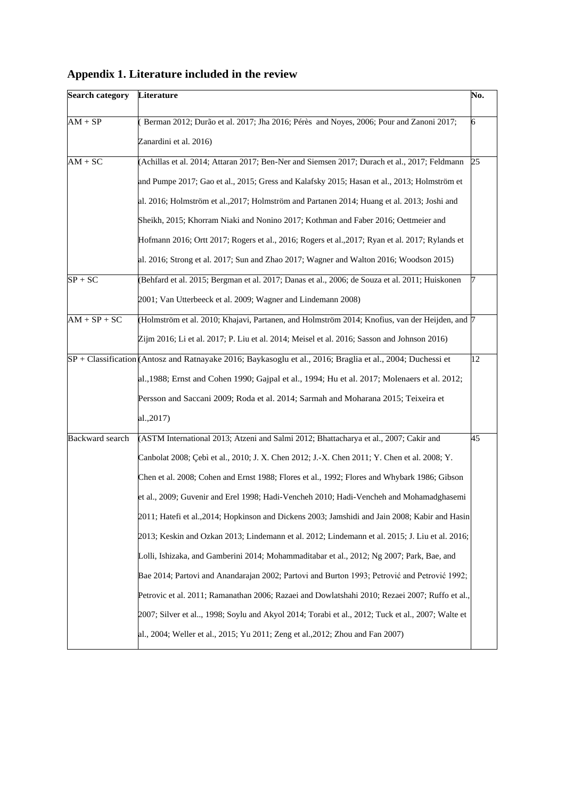|  | Appendix 1. Literature included in the review |  |  |
|--|-----------------------------------------------|--|--|
|  |                                               |  |  |

| <b>Search category</b> | Literature                                                                                                                                                                                                                                                                                                                                                                                                                                                                                                                                                                                                                                                                                                                                                                                                                                                                                                                                                                                                                                                               | No. |
|------------------------|--------------------------------------------------------------------------------------------------------------------------------------------------------------------------------------------------------------------------------------------------------------------------------------------------------------------------------------------------------------------------------------------------------------------------------------------------------------------------------------------------------------------------------------------------------------------------------------------------------------------------------------------------------------------------------------------------------------------------------------------------------------------------------------------------------------------------------------------------------------------------------------------------------------------------------------------------------------------------------------------------------------------------------------------------------------------------|-----|
| $AM + SP$              | Berman 2012; Durão et al. 2017; Jha 2016; Pérès and Noyes, 2006; Pour and Zanoni 2017;<br>Zanardini et al. 2016)                                                                                                                                                                                                                                                                                                                                                                                                                                                                                                                                                                                                                                                                                                                                                                                                                                                                                                                                                         | 6   |
| $AM + \overline{SC}$   | (Achillas et al. 2014; Attaran 2017; Ben-Ner and Siemsen 2017; Durach et al., 2017; Feldmann<br>and Pumpe 2017; Gao et al., 2015; Gress and Kalafsky 2015; Hasan et al., 2013; Holmström et<br>al. 2016; Holmström et al., 2017; Holmström and Partanen 2014; Huang et al. 2013; Joshi and<br>Sheikh, 2015; Khorram Niaki and Nonino 2017; Kothman and Faber 2016; Oettmeier and<br>Hofmann 2016; Ortt 2017; Rogers et al., 2016; Rogers et al., 2017; Ryan et al. 2017; Rylands et<br>al. 2016; Strong et al. 2017; Sun and Zhao 2017; Wagner and Walton 2016; Woodson 2015)                                                                                                                                                                                                                                                                                                                                                                                                                                                                                            | 25  |
| $SP + SC$              | (Behfard et al. 2015; Bergman et al. 2017; Danas et al., 2006; de Souza et al. 2011; Huiskonen<br>2001; Van Utterbeeck et al. 2009; Wagner and Lindemann 2008)                                                                                                                                                                                                                                                                                                                                                                                                                                                                                                                                                                                                                                                                                                                                                                                                                                                                                                           |     |
| $AM + SP + SC$         | (Holmström et al. 2010; Khajavi, Partanen, and Holmström 2014; Knofius, van der Heijden, and [7]<br>Zijm 2016; Li et al. 2017; P. Liu et al. 2014; Meisel et al. 2016; Sasson and Johnson 2016)                                                                                                                                                                                                                                                                                                                                                                                                                                                                                                                                                                                                                                                                                                                                                                                                                                                                          |     |
|                        | SP + Classification (Antosz and Ratnayake 2016; Baykasoglu et al., 2016; Braglia et al., 2004; Duchessi et<br>al., 1988; Ernst and Cohen 1990; Gajpal et al., 1994; Hu et al. 2017; Molenaers et al. 2012;<br>Persson and Saccani 2009; Roda et al. 2014; Sarmah and Moharana 2015; Teixeira et<br>al., 2017)                                                                                                                                                                                                                                                                                                                                                                                                                                                                                                                                                                                                                                                                                                                                                            | 12  |
| <b>Backward</b> search | (ASTM International 2013; Atzeni and Salmi 2012; Bhattacharya et al., 2007; Cakir and<br>Canbolat 2008; Çebì et al., 2010; J. X. Chen 2012; J.-X. Chen 2011; Y. Chen et al. 2008; Y.<br>Chen et al. 2008; Cohen and Ernst 1988; Flores et al., 1992; Flores and Whybark 1986; Gibson<br>et al., 2009; Guvenir and Erel 1998; Hadi-Vencheh 2010; Hadi-Vencheh and Mohamadghasemi<br>2011; Hatefi et al., 2014; Hopkinson and Dickens 2003; Jamshidi and Jain 2008; Kabir and Hasin<br>2013; Keskin and Ozkan 2013; Lindemann et al. 2012; Lindemann et al. 2015; J. Liu et al. 2016;<br>Lolli, Ishizaka, and Gamberini 2014; Mohammaditabar et al., 2012; Ng 2007; Park, Bae, and<br>Bae 2014; Partovi and Anandarajan 2002; Partovi and Burton 1993; Petrović and Petrović 1992;<br>Petrovic et al. 2011; Ramanathan 2006; Razaei and Dowlatshahi 2010; Rezaei 2007; Ruffo et al.,<br>2007; Silver et al, 1998; Soylu and Akyol 2014; Torabi et al., 2012; Tuck et al., 2007; Walte et<br>al., 2004; Weller et al., 2015; Yu 2011; Zeng et al., 2012; Zhou and Fan 2007) | 45  |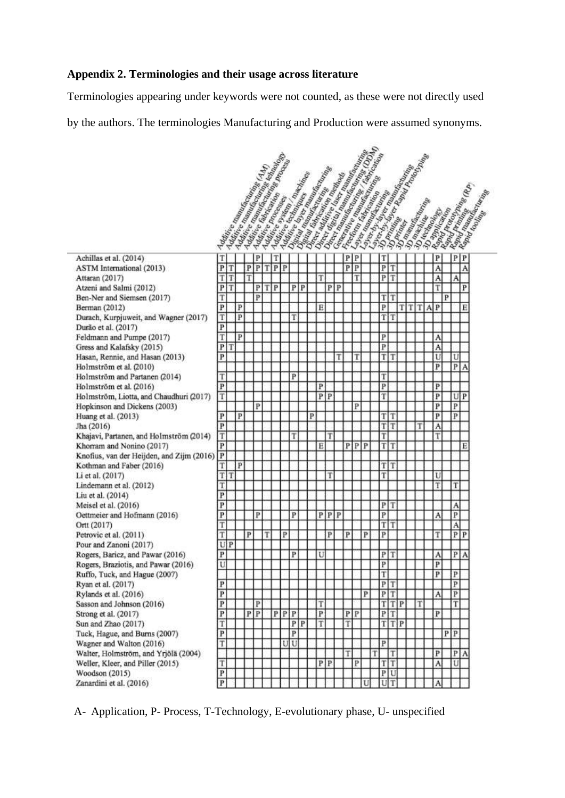## **Appendix 2. Terminologies and their usage across literature**

Terminologies appearing under keywords were not counted, as these were not directly used

by the authors. The terminologies Manufacturing and Production were assumed synonyms.

|                                                     | Additive Regional Procession of the Half |   |   |                  |   | Additional Medical Contractor of Contractor<br><b>Matthis Room Concept Concept Concept Concept Concept Concept Concept Concept Concept Concept Concept Concept Concept Concept Concept Concept Concept Concept Concept Concept Concept Concept Concept Concept Concept Concept </b><br><b>Additional Property Property Property</b> | Matrice Bremann Manufacture |                  |   |              |                  | I Directly distribution of the Contract of Contract of Contract of Contract of Contract of Contract of Contract of Contract of Contract of Contract of Contract of Contract of Contract of Contract of Contract of Contract of<br>Discounting the Concession of Manuscript |                  |              |   | Lincorn Manufacture Concern Concern Concern Concern Concern Concern Concern Concern Concern Concern Concern Concern Concern Concern Concern Concern Concern Concern Concern Concern Concern Concern Concern Concern Concern Co<br>Lincoln Street, Capital Manuscript<br><b>L. Dordhammer Demonstration Registration</b> |                  |    |   |                            |   |                             |                |
|-----------------------------------------------------|------------------------------------------|---|---|------------------|---|-------------------------------------------------------------------------------------------------------------------------------------------------------------------------------------------------------------------------------------------------------------------------------------------------------------------------------------|-----------------------------|------------------|---|--------------|------------------|----------------------------------------------------------------------------------------------------------------------------------------------------------------------------------------------------------------------------------------------------------------------------|------------------|--------------|---|-------------------------------------------------------------------------------------------------------------------------------------------------------------------------------------------------------------------------------------------------------------------------------------------------------------------------|------------------|----|---|----------------------------|---|-----------------------------|----------------|
|                                                     |                                          |   |   |                  |   |                                                                                                                                                                                                                                                                                                                                     |                             |                  |   |              |                  | <b>Liver Manufacturer Contractor</b>                                                                                                                                                                                                                                       |                  |              |   |                                                                                                                                                                                                                                                                                                                         |                  |    |   | I Railway Railway          |   |                             |                |
|                                                     |                                          |   |   |                  |   |                                                                                                                                                                                                                                                                                                                                     |                             |                  |   |              |                  |                                                                                                                                                                                                                                                                            |                  |              |   | Labour Reader                                                                                                                                                                                                                                                                                                           |                  |    |   | <b>JOI Riverside Dates</b> |   | <b>King Raming Concerns</b> |                |
|                                                     |                                          |   |   |                  |   |                                                                                                                                                                                                                                                                                                                                     |                             |                  |   |              |                  |                                                                                                                                                                                                                                                                            |                  |              |   |                                                                                                                                                                                                                                                                                                                         |                  |    |   | <b>3D application</b>      |   |                             |                |
|                                                     |                                          |   |   |                  |   |                                                                                                                                                                                                                                                                                                                                     |                             |                  |   |              |                  |                                                                                                                                                                                                                                                                            |                  |              |   |                                                                                                                                                                                                                                                                                                                         |                  |    |   |                            |   |                             |                |
|                                                     |                                          |   |   |                  |   |                                                                                                                                                                                                                                                                                                                                     |                             |                  |   |              |                  |                                                                                                                                                                                                                                                                            |                  |              |   |                                                                                                                                                                                                                                                                                                                         |                  |    |   |                            |   |                             |                |
|                                                     |                                          |   |   |                  |   |                                                                                                                                                                                                                                                                                                                                     |                             |                  |   |              |                  |                                                                                                                                                                                                                                                                            |                  |              |   |                                                                                                                                                                                                                                                                                                                         |                  |    |   | <b>30 regional du</b>      |   |                             |                |
|                                                     |                                          |   |   | P                |   |                                                                                                                                                                                                                                                                                                                                     |                             |                  |   |              |                  |                                                                                                                                                                                                                                                                            | P                | P            |   | T                                                                                                                                                                                                                                                                                                                       |                  |    |   | P                          |   | P                           | P              |
| Achillas et al. (2014)<br>ASTM International (2013) | T<br>P                                   |   | P | P                | Т | T<br>P                                                                                                                                                                                                                                                                                                                              | P                           |                  |   |              |                  |                                                                                                                                                                                                                                                                            | P                | P            |   | P                                                                                                                                                                                                                                                                                                                       | Ί                |    |   | A                          |   |                             | A              |
| Attaran (2017)                                      | Т<br>т                                   |   | T |                  |   |                                                                                                                                                                                                                                                                                                                                     |                             |                  |   | T            |                  |                                                                                                                                                                                                                                                                            |                  | T            |   | $\overline{P}$                                                                                                                                                                                                                                                                                                          | lΤ               |    |   | Α                          |   | А                           |                |
| Atzeni and Salmi (2012)                             | P                                        | т |   | P                | т | P                                                                                                                                                                                                                                                                                                                                   | P                           | P                |   |              | P                | P                                                                                                                                                                                                                                                                          |                  |              |   |                                                                                                                                                                                                                                                                                                                         |                  |    |   | Ί                          |   |                             | P              |
| Ben-Ner and Siemsen (2017)                          | T                                        |   |   | P                |   |                                                                                                                                                                                                                                                                                                                                     |                             |                  |   |              |                  |                                                                                                                                                                                                                                                                            |                  |              |   | т                                                                                                                                                                                                                                                                                                                       | IТ               |    |   |                            | P |                             |                |
| Berman (2012)                                       | P                                        | P |   |                  |   |                                                                                                                                                                                                                                                                                                                                     |                             |                  |   | E            |                  |                                                                                                                                                                                                                                                                            |                  |              |   | P                                                                                                                                                                                                                                                                                                                       |                  | TT | т | А<br>P                     |   |                             | E              |
| Durach, Kurpjuweit, and Wagner (2017)               | T                                        | P |   |                  |   |                                                                                                                                                                                                                                                                                                                                     | T                           |                  |   |              |                  |                                                                                                                                                                                                                                                                            |                  |              |   | T                                                                                                                                                                                                                                                                                                                       | İΤ               |    |   |                            |   |                             |                |
| Durão et al. (2017)                                 | $\overline{P}$                           |   |   |                  |   |                                                                                                                                                                                                                                                                                                                                     |                             |                  |   |              |                  |                                                                                                                                                                                                                                                                            |                  |              |   |                                                                                                                                                                                                                                                                                                                         |                  |    |   |                            |   |                             |                |
| Feldmann and Pumpe (2017)                           | T                                        | P |   |                  |   |                                                                                                                                                                                                                                                                                                                                     |                             |                  |   |              |                  |                                                                                                                                                                                                                                                                            |                  |              |   | P                                                                                                                                                                                                                                                                                                                       |                  |    |   | Α                          |   |                             |                |
| Gress and Kalafsky (2015)                           | P                                        |   |   |                  |   |                                                                                                                                                                                                                                                                                                                                     |                             |                  |   |              |                  |                                                                                                                                                                                                                                                                            |                  |              |   | P                                                                                                                                                                                                                                                                                                                       |                  |    |   | Ä                          |   |                             |                |
| Hasan, Rennie, and Hasan (2013)                     | P                                        |   |   |                  |   |                                                                                                                                                                                                                                                                                                                                     |                             |                  |   |              |                  | Τ                                                                                                                                                                                                                                                                          |                  | T            |   | т                                                                                                                                                                                                                                                                                                                       | IΤ               |    |   | U                          |   | U                           |                |
| Holmström et al. (2010)                             |                                          |   |   |                  |   |                                                                                                                                                                                                                                                                                                                                     |                             |                  |   |              |                  |                                                                                                                                                                                                                                                                            |                  |              |   |                                                                                                                                                                                                                                                                                                                         |                  |    |   | P                          |   | P                           | А              |
| Holmström and Partanen (2014)                       | T                                        |   |   |                  |   |                                                                                                                                                                                                                                                                                                                                     | p                           |                  |   |              |                  |                                                                                                                                                                                                                                                                            |                  |              |   | т                                                                                                                                                                                                                                                                                                                       |                  |    |   |                            |   |                             |                |
| Holmström et al. (2016)                             | $\rm _{P}$                               |   |   |                  |   |                                                                                                                                                                                                                                                                                                                                     |                             |                  |   | P            |                  |                                                                                                                                                                                                                                                                            |                  |              |   | P                                                                                                                                                                                                                                                                                                                       |                  |    |   | P                          |   |                             |                |
| Holmström, Liotta, and Chaudhuri (2017)             | T                                        |   |   |                  |   |                                                                                                                                                                                                                                                                                                                                     |                             |                  |   |              | PP               |                                                                                                                                                                                                                                                                            |                  |              |   | Ŧ                                                                                                                                                                                                                                                                                                                       |                  |    |   | P                          |   | U                           | P              |
| Hopkinson and Dickens (2003)                        |                                          |   |   | P                |   |                                                                                                                                                                                                                                                                                                                                     |                             |                  |   |              |                  |                                                                                                                                                                                                                                                                            |                  | P            |   |                                                                                                                                                                                                                                                                                                                         |                  |    |   | P                          |   | $\overline{P}$              |                |
| Huang et al. (2013)                                 | $\overline{P}$                           | P |   |                  |   |                                                                                                                                                                                                                                                                                                                                     |                             |                  | P |              |                  |                                                                                                                                                                                                                                                                            |                  |              |   | T                                                                                                                                                                                                                                                                                                                       | IT               |    |   | P                          |   | P                           |                |
| Jha (2016)                                          | $\overline{P}$                           |   |   |                  |   |                                                                                                                                                                                                                                                                                                                                     |                             |                  |   |              |                  |                                                                                                                                                                                                                                                                            |                  |              |   | T                                                                                                                                                                                                                                                                                                                       | lΤ               |    | Т | А                          |   |                             |                |
| Khajavi, Partanen, and Holmström (2014)             | T                                        |   |   |                  |   |                                                                                                                                                                                                                                                                                                                                     | т                           |                  |   |              | т                |                                                                                                                                                                                                                                                                            |                  |              |   | T                                                                                                                                                                                                                                                                                                                       |                  |    |   | T                          |   |                             |                |
| Khorram and Nonino (2017)                           | $\overline{P}$                           |   |   |                  |   |                                                                                                                                                                                                                                                                                                                                     |                             |                  |   | Ë            |                  |                                                                                                                                                                                                                                                                            | P                | $\mathbf{P}$ | P |                                                                                                                                                                                                                                                                                                                         | TT               |    |   |                            |   |                             | Ë              |
| Knofius, van der Heijden, and Zijm (2016)           | $\overline{\mathbf{P}}$                  |   |   |                  |   |                                                                                                                                                                                                                                                                                                                                     |                             |                  |   |              |                  |                                                                                                                                                                                                                                                                            |                  |              |   |                                                                                                                                                                                                                                                                                                                         |                  |    |   |                            |   |                             |                |
| Kothman and Faber (2016)                            | T                                        |   | P |                  |   |                                                                                                                                                                                                                                                                                                                                     |                             |                  |   |              |                  |                                                                                                                                                                                                                                                                            |                  |              |   |                                                                                                                                                                                                                                                                                                                         | TIT              |    |   |                            |   |                             |                |
| Li et al. (2017)                                    | T<br>Τ                                   |   |   |                  |   |                                                                                                                                                                                                                                                                                                                                     |                             |                  |   |              | T                |                                                                                                                                                                                                                                                                            |                  |              |   | T                                                                                                                                                                                                                                                                                                                       |                  |    |   | U                          |   |                             |                |
| Lindemann et al. (2012)                             | T                                        |   |   |                  |   |                                                                                                                                                                                                                                                                                                                                     |                             |                  |   |              |                  |                                                                                                                                                                                                                                                                            |                  |              |   |                                                                                                                                                                                                                                                                                                                         |                  |    |   | Τ                          |   | T                           |                |
| Liu et al. (2014)                                   | $\overline{P}$                           |   |   |                  |   |                                                                                                                                                                                                                                                                                                                                     |                             |                  |   |              |                  |                                                                                                                                                                                                                                                                            |                  |              |   |                                                                                                                                                                                                                                                                                                                         |                  |    |   |                            |   |                             |                |
| Meisel et al. (2016)                                | $\mathbf{P}$<br>P                        |   |   | P                |   |                                                                                                                                                                                                                                                                                                                                     | P                           |                  |   |              | $P$ <sup>P</sup> | P                                                                                                                                                                                                                                                                          |                  |              |   | P<br>P                                                                                                                                                                                                                                                                                                                  | IT               |    |   |                            |   | А<br>$\overline{P}$         |                |
| Oettmeier and Hofmann (2016)<br>Ortt (2017)         | T                                        |   |   |                  |   |                                                                                                                                                                                                                                                                                                                                     |                             |                  |   |              |                  |                                                                                                                                                                                                                                                                            |                  |              |   | T                                                                                                                                                                                                                                                                                                                       | ΙT               |    |   | А                          |   |                             |                |
| Petrovic et al. (2011)                              | T                                        |   | P |                  | T |                                                                                                                                                                                                                                                                                                                                     | P                           |                  |   |              | P                |                                                                                                                                                                                                                                                                            | P                |              | P | P                                                                                                                                                                                                                                                                                                                       |                  |    |   | T                          |   | A<br>P                      | $\overline{P}$ |
| Pour and Zanoni (2017)                              | U P                                      |   |   |                  |   |                                                                                                                                                                                                                                                                                                                                     |                             |                  |   |              |                  |                                                                                                                                                                                                                                                                            |                  |              |   |                                                                                                                                                                                                                                                                                                                         |                  |    |   |                            |   |                             |                |
| Rogers, Baricz, and Pawar (2016)                    | P                                        |   |   |                  |   |                                                                                                                                                                                                                                                                                                                                     | P                           |                  |   | U            |                  |                                                                                                                                                                                                                                                                            |                  |              |   |                                                                                                                                                                                                                                                                                                                         | $P$ T            |    |   | Α                          |   | P                           | Α              |
| Rogers, Braziotis, and Pawar (2016).                | U                                        |   |   |                  |   |                                                                                                                                                                                                                                                                                                                                     |                             |                  |   |              |                  |                                                                                                                                                                                                                                                                            |                  |              |   | P                                                                                                                                                                                                                                                                                                                       |                  |    |   | P                          |   |                             |                |
| Ruffo, Tuck, and Hague (2007)                       |                                          |   |   |                  |   |                                                                                                                                                                                                                                                                                                                                     |                             |                  |   |              |                  |                                                                                                                                                                                                                                                                            |                  |              |   | T                                                                                                                                                                                                                                                                                                                       |                  |    |   | P                          |   | P                           |                |
| Ryan et al. (2017)                                  | $\, {\bf P}$                             |   |   |                  |   |                                                                                                                                                                                                                                                                                                                                     |                             |                  |   |              |                  |                                                                                                                                                                                                                                                                            |                  |              |   |                                                                                                                                                                                                                                                                                                                         | $P$ <sup>T</sup> |    |   |                            |   | $\overline{P}$              |                |
| Rylands et al. (2016)                               | $\overline{\mathbf{P}}$                  |   |   |                  |   |                                                                                                                                                                                                                                                                                                                                     |                             |                  |   |              |                  |                                                                                                                                                                                                                                                                            |                  |              | P |                                                                                                                                                                                                                                                                                                                         | $P$ <sup>T</sup> |    |   | А                          |   | $\, {\bf p}$                |                |
| Sasson and Johnson (2016)                           | $\overline{\mathbf{P}}$                  |   |   | P                |   |                                                                                                                                                                                                                                                                                                                                     |                             |                  |   | T            |                  |                                                                                                                                                                                                                                                                            |                  |              |   |                                                                                                                                                                                                                                                                                                                         | $T$ $T$ $P$      |    | T |                            |   | T                           |                |
| Strong et al. (2017)                                | P                                        |   |   | $P$ <sup>P</sup> |   | $P$ $P$ $P$                                                                                                                                                                                                                                                                                                                         |                             |                  |   | $\, {\bf p}$ |                  |                                                                                                                                                                                                                                                                            | $P$ <sup>P</sup> |              |   |                                                                                                                                                                                                                                                                                                                         | $P$ <sup>T</sup> |    |   | P                          |   |                             |                |
| Sun and Zhao (2017)                                 | T                                        |   |   |                  |   |                                                                                                                                                                                                                                                                                                                                     |                             | $P$ <sup>P</sup> |   | T            |                  |                                                                                                                                                                                                                                                                            | T                |              |   |                                                                                                                                                                                                                                                                                                                         | $T$ $T$ $P$      |    |   |                            |   |                             |                |
| Tuck, Hague, and Burns (2007)                       | $\overline{P}$                           |   |   |                  |   |                                                                                                                                                                                                                                                                                                                                     | $\overline{P}$              |                  |   |              |                  |                                                                                                                                                                                                                                                                            |                  |              |   |                                                                                                                                                                                                                                                                                                                         |                  |    |   |                            |   | $P$ <sup>P</sup>            |                |
| Wagner and Walton (2016)                            | Ŧ                                        |   |   |                  |   |                                                                                                                                                                                                                                                                                                                                     | $\overline{U}$              |                  |   |              |                  |                                                                                                                                                                                                                                                                            |                  |              |   | $\overline{P}$                                                                                                                                                                                                                                                                                                          |                  |    |   |                            |   |                             |                |
| Walter, Holmström, and Yrjölä (2004)                |                                          |   |   |                  |   |                                                                                                                                                                                                                                                                                                                                     |                             |                  |   |              |                  |                                                                                                                                                                                                                                                                            | T                |              |   | T                                                                                                                                                                                                                                                                                                                       | T                |    |   | $\overline{P}$             |   |                             | P A            |
| Weller, Kleer, and Piller (2015)                    | T                                        |   |   |                  |   |                                                                                                                                                                                                                                                                                                                                     |                             |                  |   |              | $P$ <sup>P</sup> |                                                                                                                                                                                                                                                                            |                  | P            |   |                                                                                                                                                                                                                                                                                                                         | $T$ $T$          |    |   | A                          |   | U                           |                |
| Woodson (2015)                                      | $\, {\bf p}$                             |   |   |                  |   |                                                                                                                                                                                                                                                                                                                                     |                             |                  |   |              |                  |                                                                                                                                                                                                                                                                            |                  |              |   |                                                                                                                                                                                                                                                                                                                         | PU               |    |   |                            |   |                             |                |
| Zanardini et al. (2016)                             | $\, {\bf p}$                             |   |   |                  |   |                                                                                                                                                                                                                                                                                                                                     |                             |                  |   |              |                  |                                                                                                                                                                                                                                                                            |                  |              |   |                                                                                                                                                                                                                                                                                                                         | $U$ <sup>T</sup> |    |   | A                          |   |                             |                |

A- Application, P- Process, T-Technology, E-evolutionary phase, U- unspecified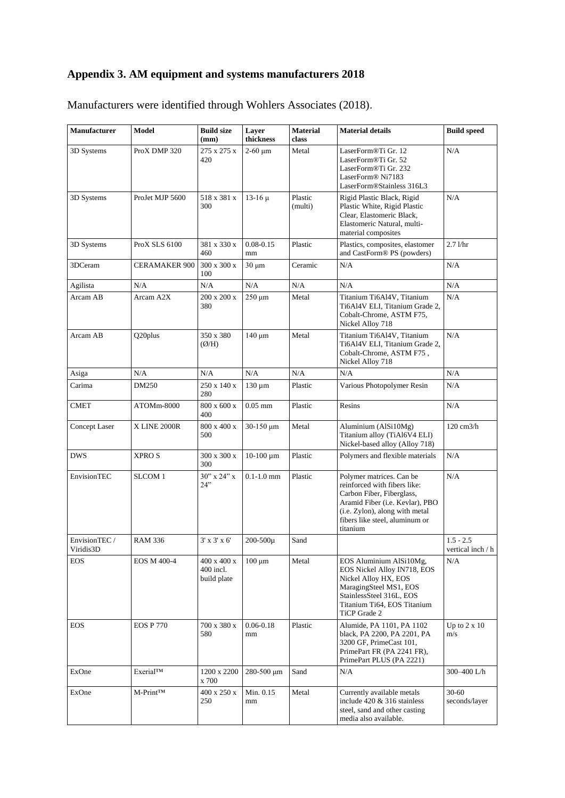# **Appendix 3. AM equipment and systems manufacturers 2018**

| <b>Manufacturer</b>        | Model                 | <b>Build size</b><br>(mm)               | Layer<br>thickness  | <b>Material</b><br>class | <b>Material details</b>                                                                                                                                                                                  | <b>Build speed</b>                      |
|----------------------------|-----------------------|-----------------------------------------|---------------------|--------------------------|----------------------------------------------------------------------------------------------------------------------------------------------------------------------------------------------------------|-----------------------------------------|
| 3D Systems                 | ProX DMP 320          | 275 x 275 x<br>420                      | $2-60 \mu m$        | Metal                    | LaserForm®Ti Gr. 12<br>LaserForm®Ti Gr. 52<br>LaserForm <sup>®</sup> Ti Gr. 232<br>LaserForm <sup>®</sup> Ni7183<br>LaserForm®Stainless 316L3                                                            | N/A                                     |
| 3D Systems                 | ProJet MJP 5600       | 518 x 381 x<br>300                      | $13-16 \mu$         | Plastic<br>(multi)       | Rigid Plastic Black, Rigid<br>Plastic White, Rigid Plastic<br>Clear, Elastomeric Black,<br>Elastomeric Natural, multi-<br>material composites                                                            | N/A                                     |
| 3D Systems                 | ProX SLS 6100         | 381 x 330 x<br>460                      | $0.08 - 0.15$<br>mm | Plastic                  | Plastics, composites, elastomer<br>and CastForm® PS (powders)                                                                                                                                            | $2.7$ $1/hr$                            |
| 3DCeram                    | <b>CERAMAKER 900</b>  | $300 \times 300 \times$<br>100          | $30 \mu m$          | Ceramic                  | N/A                                                                                                                                                                                                      | N/A                                     |
| Agilista                   | N/A                   | N/A                                     | N/A                 | N/A                      | $\rm N/A$                                                                                                                                                                                                | N/A                                     |
| Arcam AB                   | Arcam A2X             | 200 x 200 x<br>380                      | $250 \mu m$         | Metal                    | Titanium Ti6Al4V, Titanium<br>Ti6Al4V ELI, Titanium Grade 2,<br>Cobalt-Chrome, ASTM F75,<br>Nickel Alloy 718                                                                                             | N/A                                     |
| Arcam AB                   | Q20plus               | 350 x 380<br>$(\emptyset/H)$            | $140 \mu m$         | Metal                    | Titanium Ti6Al4V, Titanium<br>Ti6Al4V ELI, Titanium Grade 2,<br>Cobalt-Chrome, ASTM F75,<br>Nickel Alloy 718                                                                                             | N/A                                     |
| Asiga                      | N/A                   | N/A                                     | N/A                 | N/A                      | N/A                                                                                                                                                                                                      | N/A                                     |
| Carima                     | DM250                 | 250 x 140 x<br>280                      | $130 \mu m$         | Plastic                  | Various Photopolymer Resin                                                                                                                                                                               | N/A                                     |
| <b>CMET</b>                | ATOMm-8000            | $800$ x $600$ x<br>400                  | $0.05$ mm           | Plastic                  | Resins                                                                                                                                                                                                   | N/A                                     |
| Concept Laser              | X LINE 2000R          | 800 x 400 x<br>500                      | 30-150 μm           | Metal                    | Aluminium (AlSi10Mg)<br>Titanium alloy (TiAl6V4 ELI)<br>Nickel-based alloy (Alloy 718)                                                                                                                   | 120 cm3/h                               |
| <b>DWS</b>                 | <b>XPROS</b>          | 300 x 300 x<br>300                      | $10-100 \mu m$      | Plastic                  | Polymers and flexible materials                                                                                                                                                                          | N/A                                     |
| EnvisionTEC                | SLCOM 1               | $30''$ x $24''$ x<br>24"                | $0.1 - 1.0$ mm      | Plastic                  | Polymer matrices. Can be<br>reinforced with fibers like:<br>Carbon Fiber, Fiberglass,<br>Aramid Fiber (i.e. Kevlar), PBO<br>(i.e. Zylon), along with metal<br>fibers like steel, aluminum or<br>titanium | N/A                                     |
| EnvisionTEC /<br>Viridis3D | <b>RAM 336</b>        | $3'$ x $3'$ x $6'$                      | 200-500µ            | Sand                     |                                                                                                                                                                                                          | $1.5 - 2.5$<br>vertical inch $\prime$ h |
| <b>EOS</b>                 | EOS M 400-4           | 400 x 400 x<br>400 incl.<br>build plate | $100 \mu m$         | Metal                    | EOS Aluminium AlSi10Mg,<br>EOS Nickel Alloy IN718, EOS<br>Nickel Alloy HX, EOS<br>MaragingSteel MS1, EOS<br>StainlessSteel 316L, EOS<br>Titanium Ti64, EOS Titanium<br>TiCP Grade 2                      | N/A                                     |
| <b>EOS</b>                 | <b>EOS P 770</b>      | 700 x 380 x<br>580                      | $0.06 - 0.18$<br>mm | Plastic                  | Alumide, PA 1101, PA 1102<br>black, PA 2200, PA 2201, PA<br>3200 GF, PrimeCast 101,<br>PrimePart FR (PA 2241 FR),<br>PrimePart PLUS (PA 2221)                                                            | Up to $2 \times 10$<br>m/s              |
| ExOne                      | Exerial™              | 1200 x 2200<br>x 700                    | 280-500 μm          | Sand                     | N/A                                                                                                                                                                                                      | 300-400 L/h                             |
| ExOne                      | M-Print <sup>TM</sup> | 400 x 250 x<br>250                      | Min. 0.15<br>mm     | Metal                    | Currently available metals<br>include 420 & 316 stainless<br>steel, sand and other casting<br>media also available.                                                                                      | 30-60<br>seconds/layer                  |

Manufacturers were identified through Wohlers Associates (2018).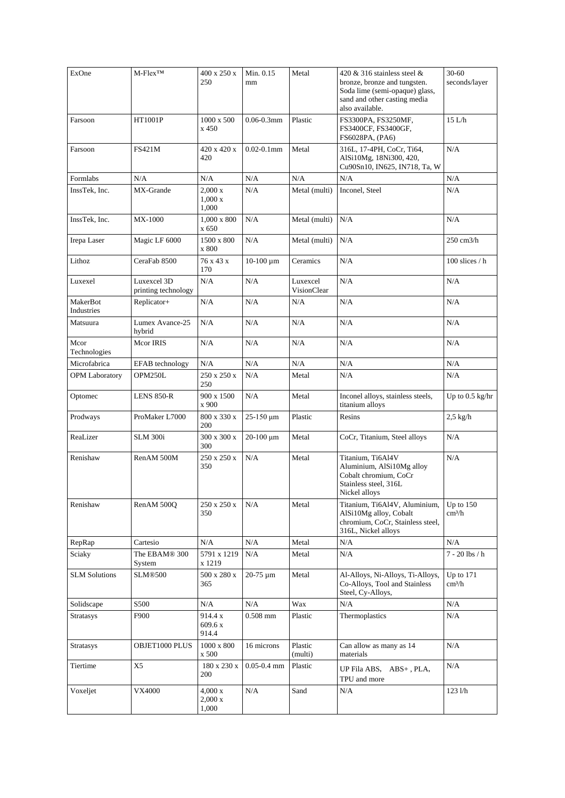| ExOne                  | $M$ -Flex <sup>TM</sup>             | 400 x 250 x<br>250                              | Min. 0.15<br>mm | Metal                   | 420 & 316 stainless steel $\&$<br>bronze, bronze and tungsten.<br>Soda lime (semi-opaque) glass,<br>sand and other casting media<br>also available. | $30 - 60$<br>seconds/layer        |
|------------------------|-------------------------------------|-------------------------------------------------|-----------------|-------------------------|-----------------------------------------------------------------------------------------------------------------------------------------------------|-----------------------------------|
| Farsoon                | HT1001P                             | 1000 x 500<br>x 450                             | $0.06 - 0.3$ mm | Plastic                 | FS3300PA, FS3250MF,<br>FS3400CF, FS3400GF,<br>FS6028PA, (PA6)                                                                                       | 15 L/h                            |
| Farsoon                | <b>FS421M</b>                       | 420 x 420 x<br>420                              | $0.02 - 0.1$ mm | Metal                   | 316L, 17-4PH, CoCr, Ti64,<br>AlSi10Mg, 18Ni300, 420,<br>Cu90Sn10, IN625, IN718, Ta, W                                                               | N/A                               |
| Formlabs               | N/A                                 | N/A                                             | N/A             | N/A                     | N/A                                                                                                                                                 | N/A                               |
| InssTek, Inc.          | MX-Grande                           | $2,000 \text{ x}$<br>$1,000 \text{ x}$<br>1,000 | N/A             | Metal (multi)           | Inconel, Steel                                                                                                                                      | $\rm N/A$                         |
| InssTek, Inc.          | <b>MX-1000</b>                      | 1,000 x 800<br>x 650                            | N/A             | Metal (multi)           | N/A                                                                                                                                                 | N/A                               |
| Irepa Laser            | Magic LF 6000                       | 1500 x 800<br>x 800                             | N/A             | Metal (multi)           | N/A                                                                                                                                                 | $250 \text{ cm}$ 3/h              |
| Lithoz                 | CeraFab 8500                        | 76 x 43 x<br>170                                | $10-100 \mu m$  | Ceramics                | N/A                                                                                                                                                 | 100 slices / h                    |
| Luxexel                | Luxexcel 3D<br>printing technology  | N/A                                             | N/A             | Luxexcel<br>VisionClear | N/A                                                                                                                                                 | N/A                               |
| MakerBot<br>Industries | Replicator+                         | N/A                                             | N/A             | N/A                     | N/A                                                                                                                                                 | N/A                               |
| Matsuura               | Lumex Avance-25<br>hybrid           | N/A                                             | N/A             | N/A                     | N/A                                                                                                                                                 | N/A                               |
| Mcor<br>Technologies   | Mcor IRIS                           | N/A                                             | N/A             | N/A                     | N/A                                                                                                                                                 | N/A                               |
| Microfabrica           | EFAB technology                     | N/A                                             | N/A             | N/A                     | N/A                                                                                                                                                 | N/A                               |
| OPM Laboratory         | OPM250L                             | 250 x 250 x<br>250                              | N/A             | Metal                   | N/A                                                                                                                                                 | N/A                               |
| Optomec                | <b>LENS 850-R</b>                   | 900 x 1500<br>x 900                             | N/A             | Metal                   | Inconel alloys, stainless steels,<br>titanium alloys                                                                                                | Up to $0.5$ kg/hr                 |
| Prodways               | ProMaker L7000                      | 800 x 330 x<br>200                              | 25-150 μm       | Plastic                 | Resins                                                                                                                                              | $2,5$ kg/h                        |
| ReaLizer               | <b>SLM 300i</b>                     | 300 x 300 x<br>300                              | 20-100 μm       | Metal                   | CoCr, Titanium, Steel alloys                                                                                                                        | N/A                               |
| Renishaw               | RenAM 500M                          | 250 x 250 x<br>350                              | N/A             | Metal                   | Titanium, Ti6Al4V<br>Aluminium, AlSi10Mg alloy<br>Cobalt chromium. CoCr<br>Stainless steel, 316L<br>Nickel alloys                                   | N/A                               |
| Renishaw               | RenAM 500Q                          | 250 x 250 x<br>350                              | N/A             | Metal                   | Titanium, Ti6Al4V, Aluminium,<br>AlSi10Mg alloy, Cobalt<br>chromium, CoCr, Stainless steel,<br>316L, Nickel alloys                                  | Up to $150$<br>cm <sup>3</sup> /h |
| RepRap                 | Cartesio                            | N/A                                             | N/A             | Metal                   | N/A                                                                                                                                                 | N/A                               |
| Sciaky                 | The EBAM <sup>®</sup> 300<br>System | 5791 x 1219<br>x 1219                           | N/A             | Metal                   | $\rm N/A$                                                                                                                                           | $7 - 20$ lbs $/h$                 |
| <b>SLM Solutions</b>   | SLM®500                             | 500 x 280 x<br>365                              | 20-75 µm        | Metal                   | Al-Alloys, Ni-Alloys, Ti-Alloys,<br>Co-Alloys, Tool and Stainless<br>Steel, Cy-Alloys,                                                              | Up to 171<br>cm <sup>3</sup> /h   |
| Solidscape             | S500                                | N/A                                             | N/A             | Wax                     | N/A                                                                                                                                                 | N/A                               |
| <b>Stratasys</b>       | F900                                | 914.4 x<br>609.6 x<br>914.4                     | $0.508$ mm      | Plastic                 | Thermoplastics                                                                                                                                      | N/A                               |
| <b>Stratasys</b>       | OBJET1000 PLUS                      | $1000 \times 800$<br>x 500                      | 16 microns      | Plastic<br>(multi)      | Can allow as many as 14<br>materials                                                                                                                | N/A                               |
| Tiertime               | X <sub>5</sub>                      | 180 x 230 x<br>200                              | $0.05 - 0.4$ mm | Plastic                 | UP Fila ABS, ABS+, PLA,<br>TPU and more                                                                                                             | N/A                               |
| Voxeljet               | <b>VX4000</b>                       | $4,000 \text{ x}$<br>$2,000 \text{ x}$<br>1,000 | N/A             | Sand                    | $\rm N/A$                                                                                                                                           | $123$ $1/h$                       |